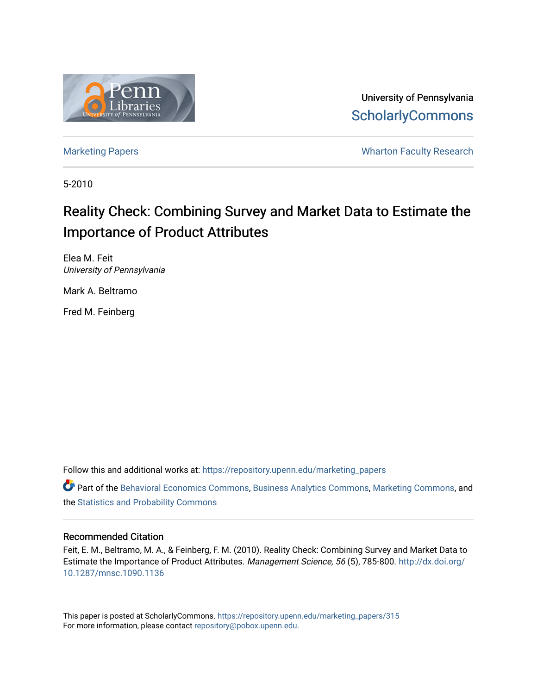

University of Pennsylvania **ScholarlyCommons** 

[Marketing Papers](https://repository.upenn.edu/marketing_papers) **Marketing Papers Marketing Papers Wharton Faculty Research** 

5-2010

# Reality Check: Combining Survey and Market Data to Estimate the Importance of Product Attributes

Elea M. Feit University of Pennsylvania

Mark A. Beltramo

Fred M. Feinberg

Follow this and additional works at: [https://repository.upenn.edu/marketing\\_papers](https://repository.upenn.edu/marketing_papers?utm_source=repository.upenn.edu%2Fmarketing_papers%2F315&utm_medium=PDF&utm_campaign=PDFCoverPages)

Part of the [Behavioral Economics Commons](http://network.bepress.com/hgg/discipline/341?utm_source=repository.upenn.edu%2Fmarketing_papers%2F315&utm_medium=PDF&utm_campaign=PDFCoverPages), [Business Analytics Commons,](http://network.bepress.com/hgg/discipline/1398?utm_source=repository.upenn.edu%2Fmarketing_papers%2F315&utm_medium=PDF&utm_campaign=PDFCoverPages) [Marketing Commons](http://network.bepress.com/hgg/discipline/638?utm_source=repository.upenn.edu%2Fmarketing_papers%2F315&utm_medium=PDF&utm_campaign=PDFCoverPages), and the [Statistics and Probability Commons](http://network.bepress.com/hgg/discipline/208?utm_source=repository.upenn.edu%2Fmarketing_papers%2F315&utm_medium=PDF&utm_campaign=PDFCoverPages)

## Recommended Citation

Feit, E. M., Beltramo, M. A., & Feinberg, F. M. (2010). Reality Check: Combining Survey and Market Data to Estimate the Importance of Product Attributes. Management Science, 56 (5), 785-800. [http://dx.doi.org/](http://dx.doi.org/10.1287/mnsc.1090.1136) [10.1287/mnsc.1090.1136](http://dx.doi.org/10.1287/mnsc.1090.1136)

This paper is posted at ScholarlyCommons. [https://repository.upenn.edu/marketing\\_papers/315](https://repository.upenn.edu/marketing_papers/315)  For more information, please contact [repository@pobox.upenn.edu.](mailto:repository@pobox.upenn.edu)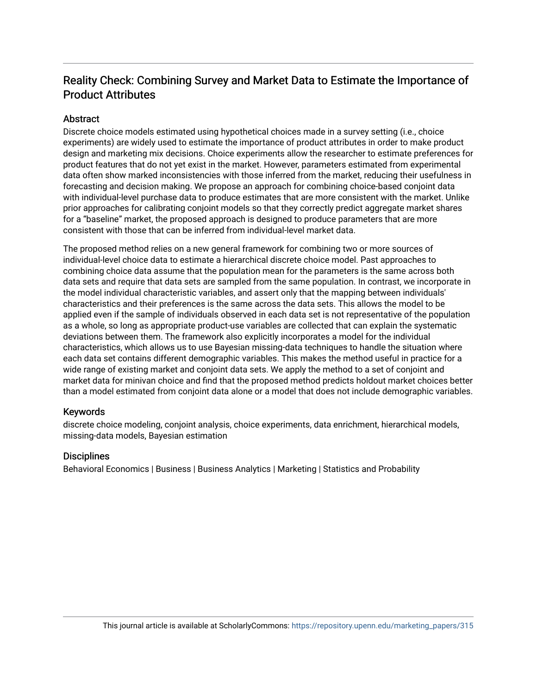# Reality Check: Combining Survey and Market Data to Estimate the Importance of Product Attributes

# **Abstract**

Discrete choice models estimated using hypothetical choices made in a survey setting (i.e., choice experiments) are widely used to estimate the importance of product attributes in order to make product design and marketing mix decisions. Choice experiments allow the researcher to estimate preferences for product features that do not yet exist in the market. However, parameters estimated from experimental data often show marked inconsistencies with those inferred from the market, reducing their usefulness in forecasting and decision making. We propose an approach for combining choice-based conjoint data with individual-level purchase data to produce estimates that are more consistent with the market. Unlike prior approaches for calibrating conjoint models so that they correctly predict aggregate market shares for a "baseline" market, the proposed approach is designed to produce parameters that are more consistent with those that can be inferred from individual-level market data.

The proposed method relies on a new general framework for combining two or more sources of individual-level choice data to estimate a hierarchical discrete choice model. Past approaches to combining choice data assume that the population mean for the parameters is the same across both data sets and require that data sets are sampled from the same population. In contrast, we incorporate in the model individual characteristic variables, and assert only that the mapping between individuals' characteristics and their preferences is the same across the data sets. This allows the model to be applied even if the sample of individuals observed in each data set is not representative of the population as a whole, so long as appropriate product-use variables are collected that can explain the systematic deviations between them. The framework also explicitly incorporates a model for the individual characteristics, which allows us to use Bayesian missing-data techniques to handle the situation where each data set contains different demographic variables. This makes the method useful in practice for a wide range of existing market and conjoint data sets. We apply the method to a set of conjoint and market data for minivan choice and find that the proposed method predicts holdout market choices better than a model estimated from conjoint data alone or a model that does not include demographic variables.

## Keywords

discrete choice modeling, conjoint analysis, choice experiments, data enrichment, hierarchical models, missing-data models, Bayesian estimation

## **Disciplines**

Behavioral Economics | Business | Business Analytics | Marketing | Statistics and Probability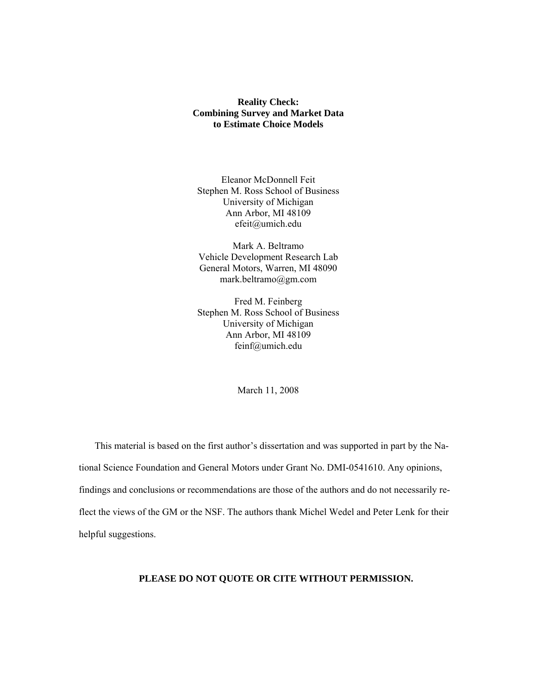## **Reality Check: Combining Survey and Market Data to Estimate Choice Models**

Eleanor McDonnell Feit Stephen M. Ross School of Business University of Michigan Ann Arbor, MI 48109 efeit@umich.edu

Mark A. Beltramo Vehicle Development Research Lab General Motors, Warren, MI 48090 mark.beltramo@gm.com

Fred M. Feinberg Stephen M. Ross School of Business University of Michigan Ann Arbor, MI 48109 [feinf@umich.edu](mailto:feinf@umich.edu)

March 11, 2008

This material is based on the first author's dissertation and was supported in part by the National Science Foundation and General Motors under Grant No. DMI-0541610. Any opinions, findings and conclusions or recommendations are those of the authors and do not necessarily reflect the views of the GM or the NSF. The authors thank Michel Wedel and Peter Lenk for their helpful suggestions.

## **PLEASE DO NOT QUOTE OR CITE WITHOUT PERMISSION.**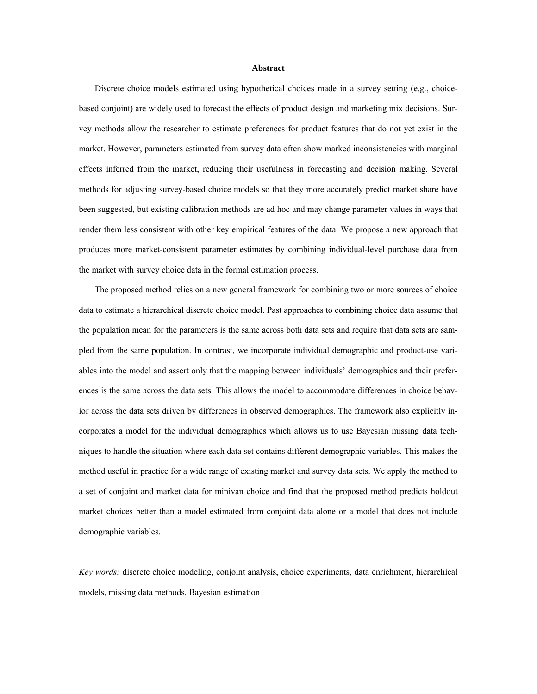#### **Abstract**

Discrete choice models estimated using hypothetical choices made in a survey setting (e.g., choicebased conjoint) are widely used to forecast the effects of product design and marketing mix decisions. Survey methods allow the researcher to estimate preferences for product features that do not yet exist in the market. However, parameters estimated from survey data often show marked inconsistencies with marginal effects inferred from the market, reducing their usefulness in forecasting and decision making. Several methods for adjusting survey-based choice models so that they more accurately predict market share have been suggested, but existing calibration methods are ad hoc and may change parameter values in ways that render them less consistent with other key empirical features of the data. We propose a new approach that produces more market-consistent parameter estimates by combining individual-level purchase data from the market with survey choice data in the formal estimation process.

The proposed method relies on a new general framework for combining two or more sources of choice data to estimate a hierarchical discrete choice model. Past approaches to combining choice data assume that the population mean for the parameters is the same across both data sets and require that data sets are sampled from the same population. In contrast, we incorporate individual demographic and product-use variables into the model and assert only that the mapping between individuals' demographics and their preferences is the same across the data sets. This allows the model to accommodate differences in choice behavior across the data sets driven by differences in observed demographics. The framework also explicitly incorporates a model for the individual demographics which allows us to use Bayesian missing data techniques to handle the situation where each data set contains different demographic variables. This makes the method useful in practice for a wide range of existing market and survey data sets. We apply the method to a set of conjoint and market data for minivan choice and find that the proposed method predicts holdout market choices better than a model estimated from conjoint data alone or a model that does not include demographic variables.

*Key words:* discrete choice modeling, conjoint analysis, choice experiments, data enrichment, hierarchical models, missing data methods, Bayesian estimation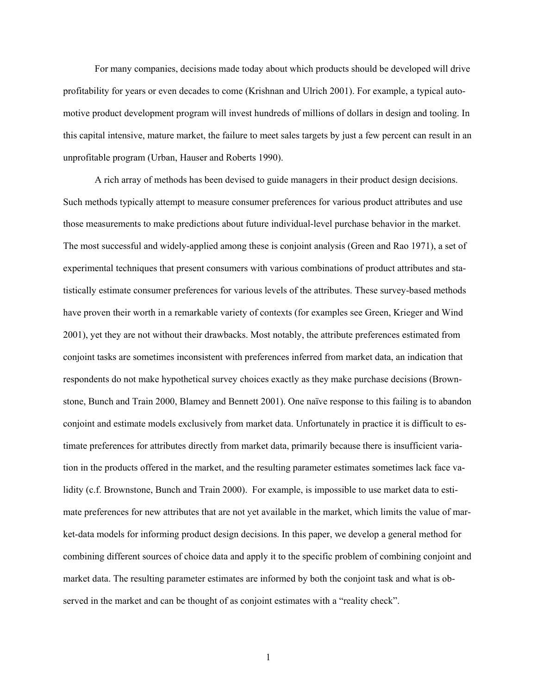For many companies, decisions made today about which products should be developed will drive profitability for years or even decades to come (Krishnan and Ulrich 2001). For example, a typical automotive product development program will invest hundreds of millions of dollars in design and tooling. In this capital intensive, mature market, the failure to meet sales targets by just a few percent can result in an unprofitable program (Urban, Hauser and Roberts 1990).

A rich array of methods has been devised to guide managers in their product design decisions. Such methods typically attempt to measure consumer preferences for various product attributes and use those measurements to make predictions about future individual-level purchase behavior in the market. The most successful and widely-applied among these is conjoint analysis (Green and Rao 1971), a set of experimental techniques that present consumers with various combinations of product attributes and statistically estimate consumer preferences for various levels of the attributes. These survey-based methods have proven their worth in a remarkable variety of contexts (for examples see Green, Krieger and Wind 2001), yet they are not without their drawbacks. Most notably, the attribute preferences estimated from conjoint tasks are sometimes inconsistent with preferences inferred from market data, an indication that respondents do not make hypothetical survey choices exactly as they make purchase decisions (Brownstone, Bunch and Train 2000, Blamey and Bennett 2001). One naïve response to this failing is to abandon conjoint and estimate models exclusively from market data. Unfortunately in practice it is difficult to estimate preferences for attributes directly from market data, primarily because there is insufficient variation in the products offered in the market, and the resulting parameter estimates sometimes lack face validity (c.f. Brownstone, Bunch and Train 2000). For example, is impossible to use market data to estimate preferences for new attributes that are not yet available in the market, which limits the value of market-data models for informing product design decisions. In this paper, we develop a general method for combining different sources of choice data and apply it to the specific problem of combining conjoint and market data. The resulting parameter estimates are informed by both the conjoint task and what is observed in the market and can be thought of as conjoint estimates with a "reality check".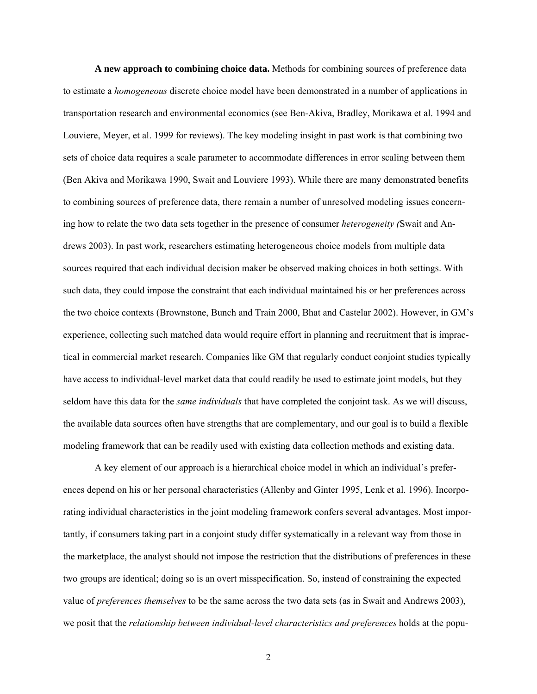**A new approach to combining choice data.** Methods for combining sources of preference data to estimate a *homogeneous* discrete choice model have been demonstrated in a number of applications in transportation research and environmental economics (see Ben-Akiva, Bradley, Morikawa et al. 1994 and Louviere, Meyer, et al. 1999 for reviews). The key modeling insight in past work is that combining two sets of choice data requires a scale parameter to accommodate differences in error scaling between them (Ben Akiva and Morikawa 1990, Swait and Louviere 1993). While there are many demonstrated benefits to combining sources of preference data, there remain a number of unresolved modeling issues concerning how to relate the two data sets together in the presence of consumer *heterogeneity (*Swait and Andrews 2003). In past work, researchers estimating heterogeneous choice models from multiple data sources required that each individual decision maker be observed making choices in both settings. With such data, they could impose the constraint that each individual maintained his or her preferences across the two choice contexts (Brownstone, Bunch and Train 2000, Bhat and Castelar 2002). However, in GM's experience, collecting such matched data would require effort in planning and recruitment that is impractical in commercial market research. Companies like GM that regularly conduct conjoint studies typically have access to individual-level market data that could readily be used to estimate joint models, but they seldom have this data for the *same individuals* that have completed the conjoint task. As we will discuss, the available data sources often have strengths that are complementary, and our goal is to build a flexible modeling framework that can be readily used with existing data collection methods and existing data.

A key element of our approach is a hierarchical choice model in which an individual's preferences depend on his or her personal characteristics (Allenby and Ginter 1995, Lenk et al. 1996). Incorporating individual characteristics in the joint modeling framework confers several advantages. Most importantly, if consumers taking part in a conjoint study differ systematically in a relevant way from those in the marketplace, the analyst should not impose the restriction that the distributions of preferences in these two groups are identical; doing so is an overt misspecification. So, instead of constraining the expected value of *preferences themselves* to be the same across the two data sets (as in Swait and Andrews 2003), we posit that the *relationship between individual-level characteristics and preferences* holds at the popu-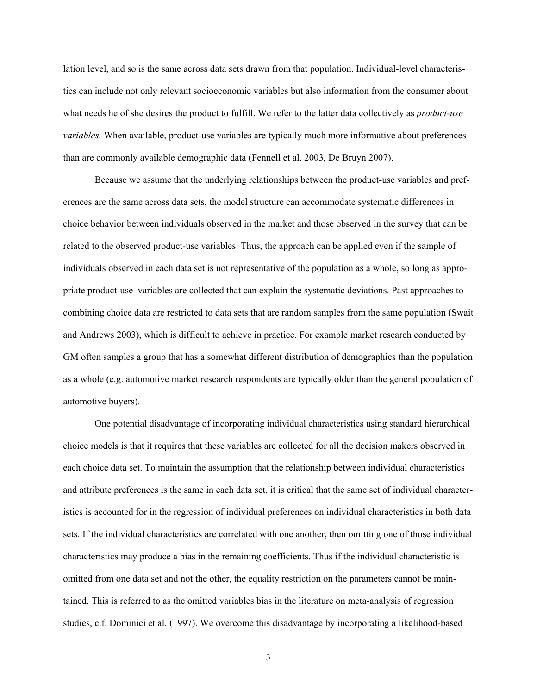lation level, and so is the same across data sets drawn from that population. Individual-level characteristics can include not only relevant socioeconomic variables but also information from the consumer about what needs he of she desires the product to fulfill. We refer to the latter data collectively as *product-use variables.* When available, product-use variables are typically much more informative about preferences than are commonly available demographic data (Fennell et al. 2003, De Bruyn 2007).

Because we assume that the underlying relationships between the product-use variables and preferences are the same across data sets, the model structure can accommodate systematic differences in choice behavior between individuals observed in the market and those observed in the survey that can be related to the observed product-use variables. Thus, the approach can be applied even if the sample of individuals observed in each data set is not representative of the population as a whole, so long as appropriate product-use variables are collected that can explain the systematic deviations. Past approaches to combining choice data are restricted to data sets that are random samples from the same population (Swait and Andrews 2003), which is difficult to achieve in practice. For example market research conducted by GM often samples a group that has a somewhat different distribution of demographics than the population as a whole (e.g. automotive market research respondents are typically older than the general population of automotive buyers).

One potential disadvantage of incorporating individual characteristics using standard hierarchical choice models is that it requires that these variables are collected for all the decision makers observed in each choice data set. To maintain the assumption that the relationship between individual characteristics and attribute preferences is the same in each data set, it is critical that the same set of individual characteristics is accounted for in the regression of individual preferences on individual characteristics in both data sets. If the individual characteristics are correlated with one another, then omitting one of those individual characteristics may produce a bias in the remaining coefficients. Thus if the individual characteristic is omitted from one data set and not the other, the equality restriction on the parameters cannot be maintained. This is referred to as the omitted variables bias in the literature on meta-analysis of regression studies, c.f. Dominici et al. (1997). We overcome this disadvantage by incorporating a likelihood-based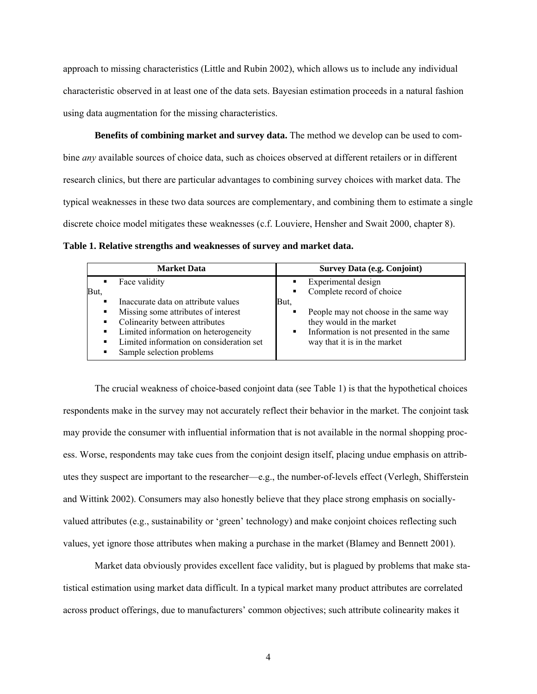approach to missing characteristics (Little and Rubin 2002), which allows us to include any individual characteristic observed in at least one of the data sets. Bayesian estimation proceeds in a natural fashion using data augmentation for the missing characteristics.

**Benefits of combining market and survey data.** The method we develop can be used to combine *any* available sources of choice data, such as choices observed at different retailers or in different research clinics, but there are particular advantages to combining survey choices with market data. The typical weaknesses in these two data sources are complementary, and combining them to estimate a single discrete choice model mitigates these weaknesses (c.f. Louviere, Hensher and Swait 2000, chapter 8).

<span id="page-7-0"></span>**Table 1. Relative strengths and weaknesses of survey and market data.** 

| <b>Market Data</b>                                                                                                                                                                                                                                                              | <b>Survey Data (e.g. Conjoint)</b>                                                                                                                                                                                  |
|---------------------------------------------------------------------------------------------------------------------------------------------------------------------------------------------------------------------------------------------------------------------------------|---------------------------------------------------------------------------------------------------------------------------------------------------------------------------------------------------------------------|
| Face validity<br>But.<br>Inaccurate data on attribute values<br>Missing some attributes of interest<br>٠<br>Colinearity between attributes<br>٠<br>Limited information on heterogeneity<br>٠<br>Limited information on consideration set<br>٠<br>Sample selection problems<br>٠ | Experimental design<br>Complete record of choice<br>٠<br>But.<br>People may not choose in the same way<br>they would in the market<br>Information is not presented in the same<br>٠<br>way that it is in the market |

The crucial weakness of choice-based conjoint data (see [Table 1](#page-7-0)) is that the hypothetical choices respondents make in the survey may not accurately reflect their behavior in the market. The conjoint task may provide the consumer with influential information that is not available in the normal shopping process. Worse, respondents may take cues from the conjoint design itself, placing undue emphasis on attributes they suspect are important to the researcher—e.g., the number-of-levels effect (Verlegh, Shifferstein and Wittink 2002). Consumers may also honestly believe that they place strong emphasis on sociallyvalued attributes (e.g., sustainability or 'green' technology) and make conjoint choices reflecting such values, yet ignore those attributes when making a purchase in the market (Blamey and Bennett 2001).

Market data obviously provides excellent face validity, but is plagued by problems that make statistical estimation using market data difficult. In a typical market many product attributes are correlated across product offerings, due to manufacturers' common objectives; such attribute colinearity makes it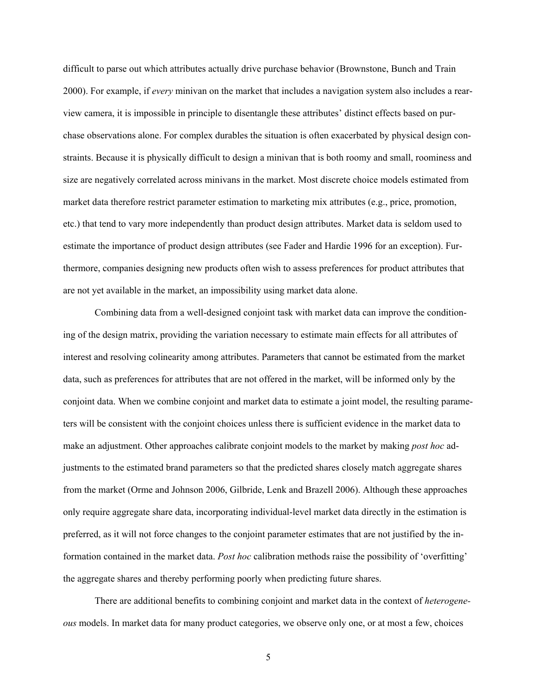difficult to parse out which attributes actually drive purchase behavior (Brownstone, Bunch and Train 2000). For example, if *every* minivan on the market that includes a navigation system also includes a rearview camera, it is impossible in principle to disentangle these attributes' distinct effects based on purchase observations alone. For complex durables the situation is often exacerbated by physical design constraints. Because it is physically difficult to design a minivan that is both roomy and small, roominess and size are negatively correlated across minivans in the market. Most discrete choice models estimated from market data therefore restrict parameter estimation to marketing mix attributes (e.g., price, promotion, etc.) that tend to vary more independently than product design attributes. Market data is seldom used to estimate the importance of product design attributes (see Fader and Hardie 1996 for an exception). Furthermore, companies designing new products often wish to assess preferences for product attributes that are not yet available in the market, an impossibility using market data alone.

Combining data from a well-designed conjoint task with market data can improve the conditioning of the design matrix, providing the variation necessary to estimate main effects for all attributes of interest and resolving colinearity among attributes. Parameters that cannot be estimated from the market data, such as preferences for attributes that are not offered in the market, will be informed only by the conjoint data. When we combine conjoint and market data to estimate a joint model, the resulting parameters will be consistent with the conjoint choices unless there is sufficient evidence in the market data to make an adjustment. Other approaches calibrate conjoint models to the market by making *post hoc* adjustments to the estimated brand parameters so that the predicted shares closely match aggregate shares from the market (Orme and Johnson 2006, Gilbride, Lenk and Brazell 2006). Although these approaches only require aggregate share data, incorporating individual-level market data directly in the estimation is preferred, as it will not force changes to the conjoint parameter estimates that are not justified by the information contained in the market data. *Post hoc* calibration methods raise the possibility of 'overfitting' the aggregate shares and thereby performing poorly when predicting future shares.

There are additional benefits to combining conjoint and market data in the context of *heterogeneous* models. In market data for many product categories, we observe only one, or at most a few, choices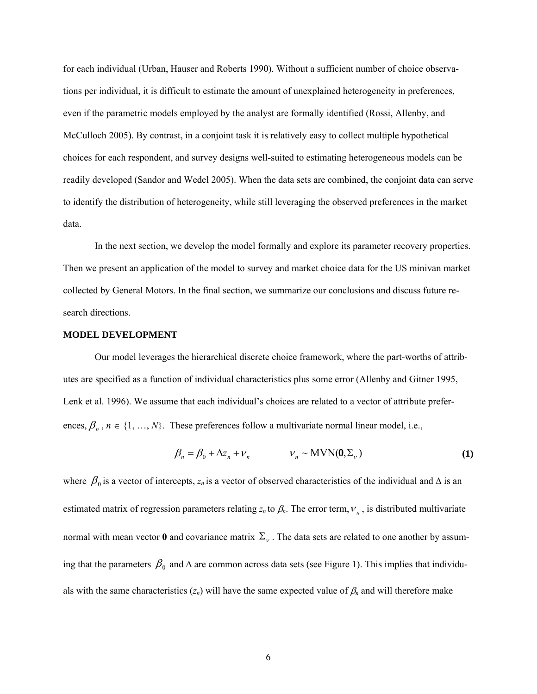for each individual (Urban, Hauser and Roberts 1990). Without a sufficient number of choice observations per individual, it is difficult to estimate the amount of unexplained heterogeneity in preferences, even if the parametric models employed by the analyst are formally identified (Rossi, Allenby, and McCulloch 2005). By contrast, in a conjoint task it is relatively easy to collect multiple hypothetical choices for each respondent, and survey designs well-suited to estimating heterogeneous models can be readily developed (Sandor and Wedel 2005). When the data sets are combined, the conjoint data can serve to identify the distribution of heterogeneity, while still leveraging the observed preferences in the market data.

In the next section, we develop the model formally and explore its parameter recovery properties. Then we present an application of the model to survey and market choice data for the US minivan market collected by General Motors. In the final section, we summarize our conclusions and discuss future research directions.

#### **MODEL DEVELOPMENT**

Our model leverages the hierarchical discrete choice framework, where the part-worths of attributes are specified as a function of individual characteristics plus some error (Allenby and Gitner 1995, Lenk et al. 1996). We assume that each individual's choices are related to a vector of attribute preferences,  $\beta_n$ ,  $n \in \{1, ..., N\}$ . These preferences follow a multivariate normal linear model, i.e.,

$$
\beta_n = \beta_0 + \Delta z_n + \nu_n \qquad \qquad \nu_n \sim \text{MVN}(0, \Sigma_\nu) \tag{1}
$$

where  $\beta_0$  is a vector of intercepts,  $z_n$  is a vector of observed characteristics of the individual and  $\Delta$  is an estimated matrix of regression parameters relating  $z_n$  to  $\beta_n$ . The error term,  $V_n$ , is distributed multivariate normal with mean vector **0** and covariance matrix  $\Sigma_{v}$ . The data sets are related to one another by assuming that the parameters  $\beta_0$  and  $\Delta$  are common across data sets (see [Figure 1\)](#page-11-0). This implies that individuals with the same characteristics  $(z_n)$  will have the same expected value of  $\beta_n$  and will therefore make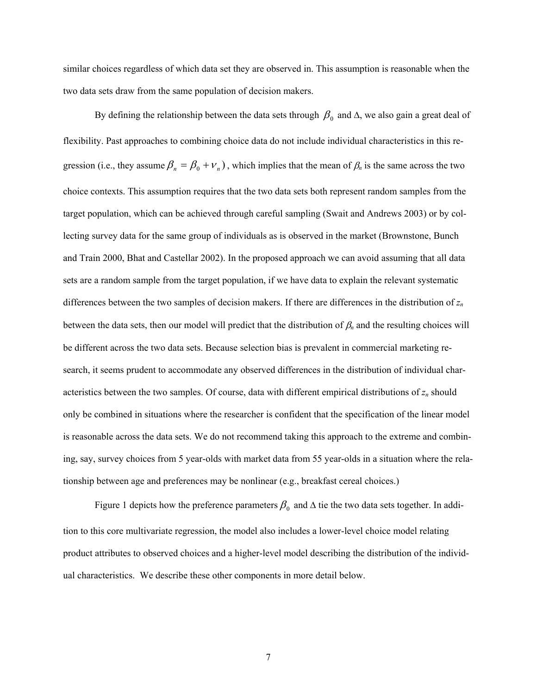similar choices regardless of which data set they are observed in. This assumption is reasonable when the two data sets draw from the same population of decision makers.

By defining the relationship between the data sets through  $\beta_0$  and  $\Delta$ , we also gain a great deal of flexibility. Past approaches to combining choice data do not include individual characteristics in this regression (i.e., they assume  $\beta_n = \beta_0 + v_n$ ), which implies that the mean of  $\beta_n$  is the same across the two choice contexts. This assumption requires that the two data sets both represent random samples from the target population, which can be achieved through careful sampling (Swait and Andrews 2003) or by collecting survey data for the same group of individuals as is observed in the market (Brownstone, Bunch and Train 2000, Bhat and Castellar 2002). In the proposed approach we can avoid assuming that all data sets are a random sample from the target population, if we have data to explain the relevant systematic differences between the two samples of decision makers. If there are differences in the distribution of  $z_n$ between the data sets, then our model will predict that the distribution of β*n* and the resulting choices will be different across the two data sets. Because selection bias is prevalent in commercial marketing research, it seems prudent to accommodate any observed differences in the distribution of individual characteristics between the two samples. Of course, data with different empirical distributions of  $z_n$  should only be combined in situations where the researcher is confident that the specification of the linear model is reasonable across the data sets. We do not recommend taking this approach to the extreme and combining, say, survey choices from 5 year-olds with market data from 55 year-olds in a situation where the relationship between age and preferences may be nonlinear (e.g., breakfast cereal choices.)

[Figure 1](#page-11-0) depicts how the preference parameters  $\beta_0$  and  $\Delta$  tie the two data sets together. In addition to this core multivariate regression, the model also includes a lower-level choice model relating product attributes to observed choices and a higher-level model describing the distribution of the individual characteristics. We describe these other components in more detail below.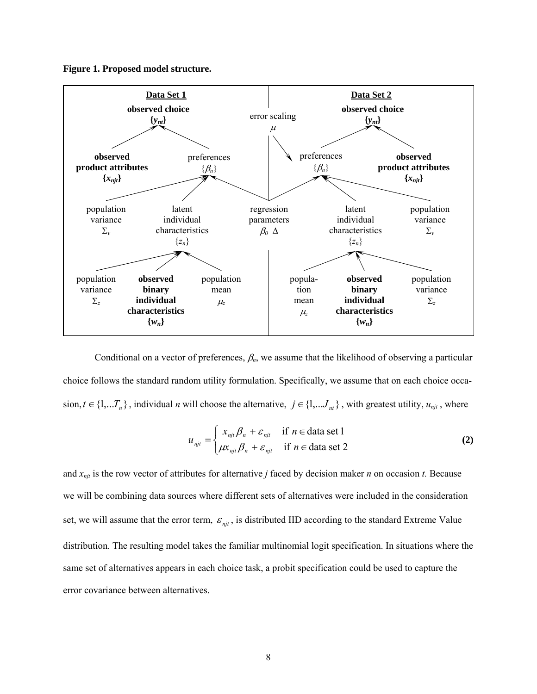**Figure 1. Proposed model structure.** 

<span id="page-11-0"></span>

Conditional on a vector of preferences,  $\beta_n$ , we assume that the likelihood of observing a particular choice follows the standard random utility formulation. Specifically, we assume that on each choice occasion,  $t \in \{1,...T_n\}$ , individual *n* will choose the alternative,  $j \in \{1,...J_m\}$ , with greatest utility,  $u_{njt}$ , where

$$
u_{njt} = \begin{cases} x_{njt} \beta_n + \varepsilon_{njt} & \text{if } n \in \text{data set 1} \\ \mu x_{njt} \beta_n + \varepsilon_{njt} & \text{if } n \in \text{data set 2} \end{cases}
$$
 (2)

and *xnjt* is the row vector of attributes for alternative *j* faced by decision maker *n* on occasion *t.* Because we will be combining data sources where different sets of alternatives were included in the consideration set, we will assume that the error term,  $\varepsilon_{nit}$ , is distributed IID according to the standard Extreme Value distribution. The resulting model takes the familiar multinomial logit specification. In situations where the same set of alternatives appears in each choice task, a probit specification could be used to capture the error covariance between alternatives.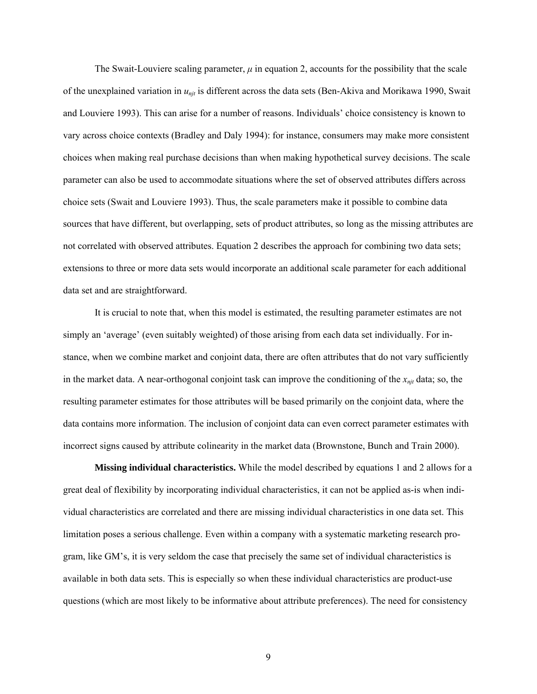The Swait-Louviere scaling parameter,  $\mu$  in equation 2, accounts for the possibility that the scale of the unexplained variation in *unjt* is different across the data sets (Ben-Akiva and Morikawa 1990, Swait and Louviere 1993). This can arise for a number of reasons. Individuals' choice consistency is known to vary across choice contexts (Bradley and Daly 1994): for instance, consumers may make more consistent choices when making real purchase decisions than when making hypothetical survey decisions. The scale parameter can also be used to accommodate situations where the set of observed attributes differs across choice sets (Swait and Louviere 1993). Thus, the scale parameters make it possible to combine data sources that have different, but overlapping, sets of product attributes, so long as the missing attributes are not correlated with observed attributes. Equation 2 describes the approach for combining two data sets; extensions to three or more data sets would incorporate an additional scale parameter for each additional data set and are straightforward.

It is crucial to note that, when this model is estimated, the resulting parameter estimates are not simply an 'average' (even suitably weighted) of those arising from each data set individually. For instance, when we combine market and conjoint data, there are often attributes that do not vary sufficiently in the market data. A near-orthogonal conjoint task can improve the conditioning of the  $x_{njt}$  data; so, the resulting parameter estimates for those attributes will be based primarily on the conjoint data, where the data contains more information. The inclusion of conjoint data can even correct parameter estimates with incorrect signs caused by attribute colinearity in the market data (Brownstone, Bunch and Train 2000).

**Missing individual characteristics.** While the model described by equations 1 and 2 allows for a great deal of flexibility by incorporating individual characteristics, it can not be applied as-is when individual characteristics are correlated and there are missing individual characteristics in one data set. This limitation poses a serious challenge. Even within a company with a systematic marketing research program, like GM's, it is very seldom the case that precisely the same set of individual characteristics is available in both data sets. This is especially so when these individual characteristics are product-use questions (which are most likely to be informative about attribute preferences). The need for consistency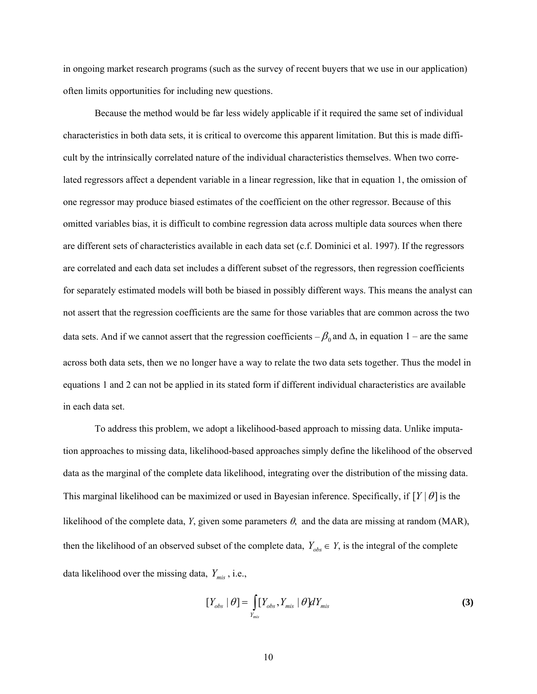in ongoing market research programs (such as the survey of recent buyers that we use in our application) often limits opportunities for including new questions.

Because the method would be far less widely applicable if it required the same set of individual characteristics in both data sets, it is critical to overcome this apparent limitation. But this is made difficult by the intrinsically correlated nature of the individual characteristics themselves. When two correlated regressors affect a dependent variable in a linear regression, like that in equation 1, the omission of one regressor may produce biased estimates of the coefficient on the other regressor. Because of this omitted variables bias, it is difficult to combine regression data across multiple data sources when there are different sets of characteristics available in each data set (c.f. Dominici et al. 1997). If the regressors are correlated and each data set includes a different subset of the regressors, then regression coefficients for separately estimated models will both be biased in possibly different ways. This means the analyst can not assert that the regression coefficients are the same for those variables that are common across the two data sets. And if we cannot assert that the regression coefficients  $-\beta_0$  and  $\Delta$ , in equation 1 – are the same across both data sets, then we no longer have a way to relate the two data sets together. Thus the model in equations 1 and 2 can not be applied in its stated form if different individual characteristics are available in each data set.

To address this problem, we adopt a likelihood-based approach to missing data. Unlike imputation approaches to missing data, likelihood-based approaches simply define the likelihood of the observed data as the marginal of the complete data likelihood, integrating over the distribution of the missing data. This marginal likelihood can be maximized or used in Bayesian inference. Specifically, if  $Y | \theta$  is the likelihood of the complete data, *Y*, given some parameters  $\theta$ , and the data are missing at random (MAR), then the likelihood of an observed subset of the complete data,  $Y_{obs} \in Y$ , is the integral of the complete data likelihood over the missing data,  $Y_{\text{mis}}$ , i.e.,

$$
\left[Y_{obs} \mid \theta\right] = \int_{Y_{mis}} \left[Y_{obs}, Y_{mis} \mid \theta\right] dY_{mis} \tag{3}
$$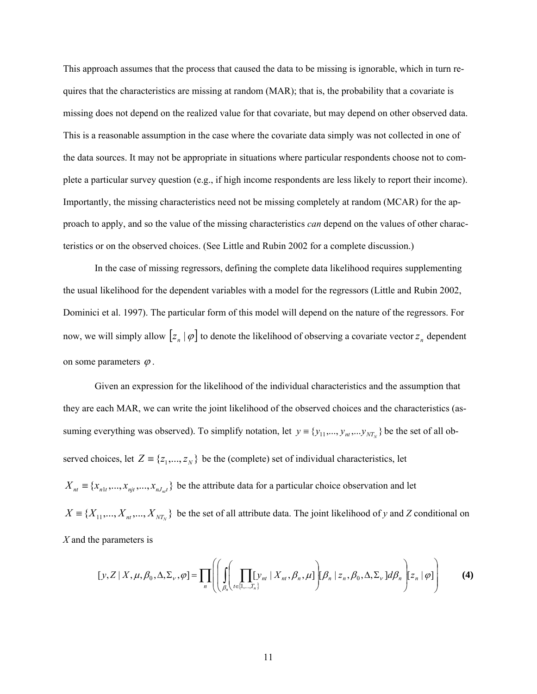This approach assumes that the process that caused the data to be missing is ignorable, which in turn requires that the characteristics are missing at random (MAR); that is, the probability that a covariate is missing does not depend on the realized value for that covariate, but may depend on other observed data. This is a reasonable assumption in the case where the covariate data simply was not collected in one of the data sources. It may not be appropriate in situations where particular respondents choose not to complete a particular survey question (e.g., if high income respondents are less likely to report their income). Importantly, the missing characteristics need not be missing completely at random (MCAR) for the approach to apply, and so the value of the missing characteristics *can* depend on the values of other characteristics or on the observed choices. (See Little and Rubin 2002 for a complete discussion.)

In the case of missing regressors, defining the complete data likelihood requires supplementing the usual likelihood for the dependent variables with a model for the regressors (Little and Rubin 2002, Dominici et al. 1997). The particular form of this model will depend on the nature of the regressors. For now, we will simply allow  $\left[ z_n \mid \varphi \right]$  to denote the likelihood of observing a covariate vector  $z_n$  dependent on some parameters  $\varphi$ .

Given an expression for the likelihood of the individual characteristics and the assumption that they are each MAR, we can write the joint likelihood of the observed choices and the characteristics (assuming everything was observed). To simplify notation, let  $y = \{y_{11},...,y_{nt},...y_{NT_N}\}$  be the set of all observed choices, let  $Z = \{z_1,..., z_N\}$  be the (complete) set of individual characteristics, let  $X_{nt} = \{x_{n1},...,x_{nj},...,x_{nJ_{nt}}\}\$  be the attribute data for a particular choice observation and let  $X = \{X_{11},...,X_{nt},...,X_{NT_N}\}\)$  be the set of all attribute data. The joint likelihood of *y* and *Z* conditional on *X* and the parameters is

$$
[y, Z | X, \mu, \beta_0, \Delta, \Sigma_{\nu}, \varphi] = \prod_{n} \left( \int_{\beta_n} \left( \prod_{t \in \{1, \dots, T_n\}} [y_{nt} | X_{nt}, \beta_n, \mu] \right) [\beta_n | z_n, \beta_0, \Delta, \Sigma_{\nu}] d\beta_n \right) [z_n | \varphi] \right)
$$
(4)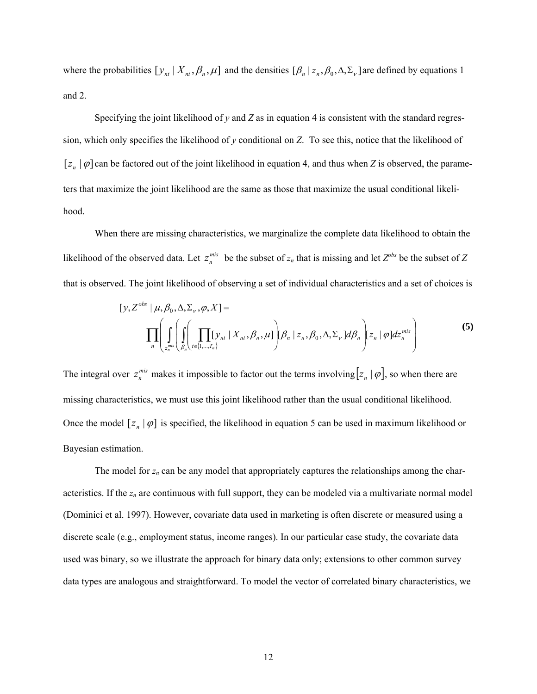where the probabilities  $[y_n | X_n, \beta_n, \mu]$  and the densities  $[\beta_n | z_n, \beta_0, \Delta, \Sigma_\nu]$  are defined by equations 1 and 2.

Specifying the joint likelihood of  $\gamma$  and  $\gamma$  as in equation 4 is consistent with the standard regression, which only specifies the likelihood of *y* conditional on *Z*. To see this, notice that the likelihood of  $[z_n | \varphi]$  can be factored out of the joint likelihood in equation 4, and thus when *Z* is observed, the parameters that maximize the joint likelihood are the same as those that maximize the usual conditional likelihood.

When there are missing characteristics, we marginalize the complete data likelihood to obtain the likelihood of the observed data. Let  $z_n^{mis}$  be the subset of  $z_n$  that is missing and let  $Z^{obs}$  be the subset of Z that is observed. The joint likelihood of observing a set of individual characteristics and a set of choices is

$$
[y, Z^{obs} | \mu, \beta_0, \Delta, \Sigma_{\nu}, \varphi, X] =
$$

$$
\prod_{n} \left( \iint_{z_n^{mis}} \left( \iint_{\beta_n} \prod_{t \in \{1, \dots, T_n\}} [y_{nt} | X_{nt}, \beta_n, \mu] \right) \beta_n | z_n, \beta_0, \Delta, \Sigma_{\nu} ] d\beta_n \right) [z_n | \varphi] dz_n^{mis} \right)
$$
(5)

The integral over  $z_n^{mis}$  makes it impossible to factor out the terms involving  $[z_n | \varphi]$ , so when there are missing characteristics, we must use this joint likelihood rather than the usual conditional likelihood. Once the model  $[z_n | \varphi]$  is specified, the likelihood in equation 5 can be used in maximum likelihood or Bayesian estimation.

The model for  $z_n$  can be any model that appropriately captures the relationships among the characteristics. If the  $z_n$  are continuous with full support, they can be modeled via a multivariate normal model (Dominici et al. 1997). However, covariate data used in marketing is often discrete or measured using a discrete scale (e.g., employment status, income ranges). In our particular case study, the covariate data used was binary, so we illustrate the approach for binary data only; extensions to other common survey data types are analogous and straightforward. To model the vector of correlated binary characteristics, we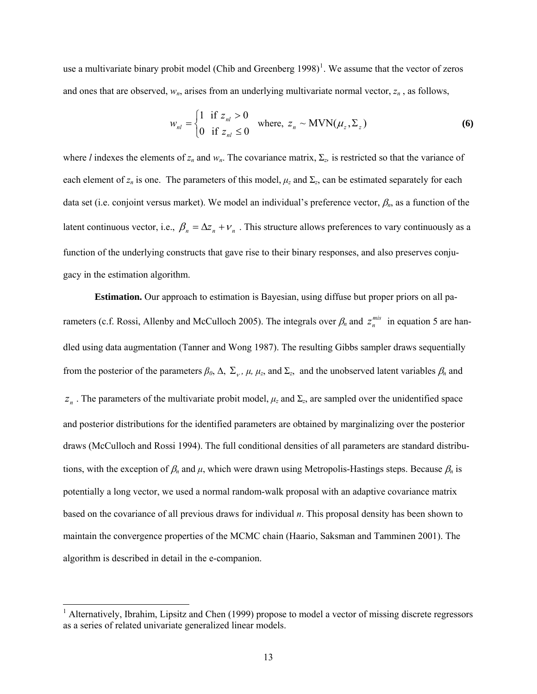use a multivariate binary probit model (Chib and Greenberg  $1998$  $1998$ )<sup>1</sup>. We assume that the vector of zeros and ones that are observed,  $w_n$ , arises from an underlying multivariate normal vector,  $z_n$ , as follows,

$$
w_{nl} = \begin{cases} 1 & \text{if } z_{nl} > 0 \\ 0 & \text{if } z_{nl} \le 0 \end{cases} \text{ where, } z_n \sim \text{MVN}(\mu_z, \Sigma_z)
$$
 (6)

where *l* indexes the elements of  $z_n$  and  $w_n$ . The covariance matrix,  $\Sigma_z$ , is restricted so that the variance of each element of  $z_n$  is one. The parameters of this model,  $\mu_z$  and  $\Sigma_z$ , can be estimated separately for each data set (i.e. conjoint versus market). We model an individual's preference vector, β*n*, as a function of the latent continuous vector, i.e.,  $\beta_n = \Delta z_n + v_n$ . This structure allows preferences to vary continuously as a function of the underlying constructs that gave rise to their binary responses, and also preserves conjugacy in the estimation algorithm.

**Estimation.** Our approach to estimation is Bayesian, using diffuse but proper priors on all parameters (c.f. Rossi, Allenby and McCulloch 2005). The integrals over  $\beta_n$  and  $z_n^{mis}$  in equation 5 are handled using data augmentation (Tanner and Wong 1987). The resulting Gibbs sampler draws sequentially from the posterior of the parameters  $\beta_0$ ,  $\Delta$ ,  $\Sigma_v$ ,  $\mu$ ,  $\mu_z$ , and  $\Sigma_z$ , and the unobserved latent variables  $\beta_n$  and  $z_n$ . The parameters of the multivariate probit model,  $\mu_z$  and  $\Sigma_z$ , are sampled over the unidentified space and posterior distributions for the identified parameters are obtained by marginalizing over the posterior draws (McCulloch and Rossi 1994). The full conditional densities of all parameters are standard distributions, with the exception of  $\beta_n$  and  $\mu$ , which were drawn using Metropolis-Hastings steps. Because  $\beta_n$  is potentially a long vector, we used a normal random-walk proposal with an adaptive covariance matrix based on the covariance of all previous draws for individual *n*. This proposal density has been shown to maintain the convergence properties of the MCMC chain (Haario, Saksman and Tamminen 2001). The algorithm is described in detail in the e-companion.

<span id="page-16-0"></span><sup>&</sup>lt;sup>1</sup> Alternatively, Ibrahim, Lipsitz and Chen (1999) propose to model a vector of missing discrete regressors as a series of related univariate generalized linear models.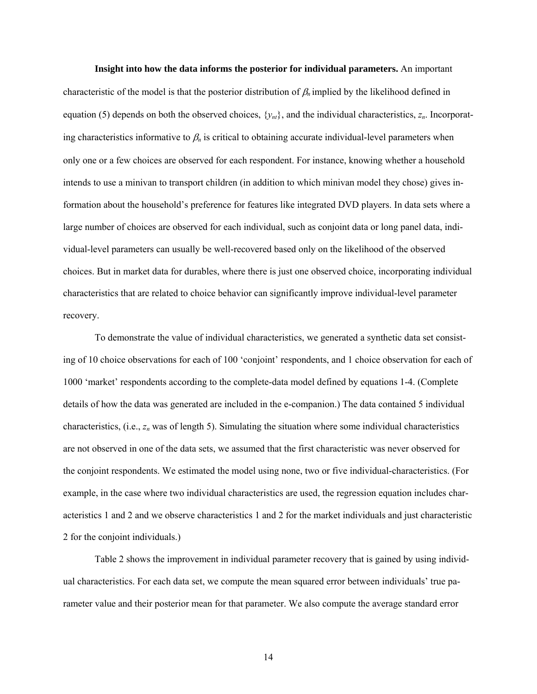**Insight into how the data informs the posterior for individual parameters.** An important characteristic of the model is that the posterior distribution of β*n* implied by the likelihood defined in equation (5) depends on both the observed choices,  $\{y_{nt}\}\$ , and the individual characteristics,  $z_n$ . Incorporating characteristics informative to  $\beta_n$  is critical to obtaining accurate individual-level parameters when only one or a few choices are observed for each respondent. For instance, knowing whether a household intends to use a minivan to transport children (in addition to which minivan model they chose) gives information about the household's preference for features like integrated DVD players. In data sets where a large number of choices are observed for each individual, such as conjoint data or long panel data, individual-level parameters can usually be well-recovered based only on the likelihood of the observed choices. But in market data for durables, where there is just one observed choice, incorporating individual characteristics that are related to choice behavior can significantly improve individual-level parameter recovery.

To demonstrate the value of individual characteristics, we generated a synthetic data set consisting of 10 choice observations for each of 100 'conjoint' respondents, and 1 choice observation for each of 1000 'market' respondents according to the complete-data model defined by equations 1-4. (Complete details of how the data was generated are included in the e-companion.) The data contained 5 individual characteristics, (i.e., *zn* was of length 5). Simulating the situation where some individual characteristics are not observed in one of the data sets, we assumed that the first characteristic was never observed for the conjoint respondents. We estimated the model using none, two or five individual-characteristics. (For example, in the case where two individual characteristics are used, the regression equation includes characteristics 1 and 2 and we observe characteristics 1 and 2 for the market individuals and just characteristic 2 for the conjoint individuals.)

[Table 2](#page-18-0) shows the improvement in individual parameter recovery that is gained by using individual characteristics. For each data set, we compute the mean squared error between individuals' true parameter value and their posterior mean for that parameter. We also compute the average standard error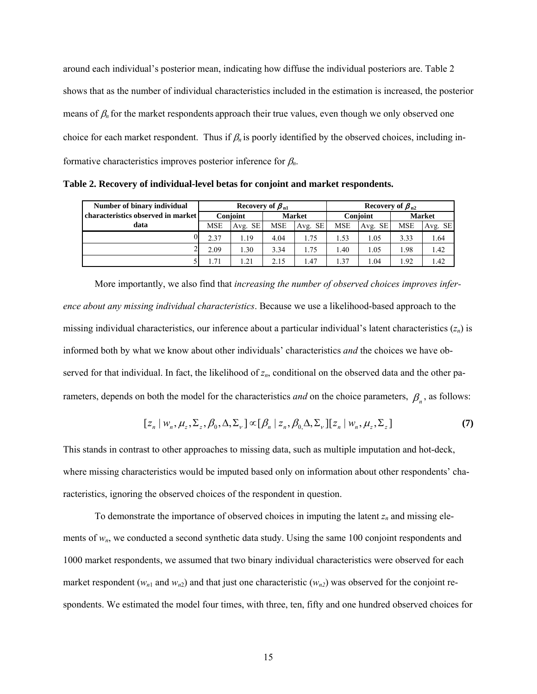around each individual's posterior mean, indicating how diffuse the individual posteriors are. [Table 2](#page-18-0) shows that as the number of individual characteristics included in the estimation is increased, the posterior means of  $\beta_n$  for the market respondents approach their true values, even though we only observed one choice for each market respondent. Thus if  $\beta_n$  is poorly identified by the observed choices, including informative characteristics improves posterior inference for β*n*.

<span id="page-18-0"></span>**Table 2. Recovery of individual-level betas for conjoint and market respondents.** 

| Number of binary individual        |            | Recovery of $\beta_{n1}$ |            |               | Recovery of $\beta_{n2}$ |          |               |         |  |  |  |
|------------------------------------|------------|--------------------------|------------|---------------|--------------------------|----------|---------------|---------|--|--|--|
| characteristics observed in market |            | Conjoint                 |            | <b>Market</b> |                          | Conjoint | <b>Market</b> |         |  |  |  |
| data                               | <b>MSE</b> | Avg. SE                  | <b>MSE</b> | Avg. $SE$     | <b>MSE</b>               | Avg. SE  | <b>MSE</b>    | Avg. SE |  |  |  |
|                                    | 2.37       | 1.19                     | 4.04       | 1.75          | 1.53                     | 1.05     | 3.33          | l.64    |  |  |  |
|                                    | 2.09       | 1.30                     | 3.34       | 1.75          | 1.40                     | 1.05     | l.98          | l.42    |  |  |  |
|                                    | .71        | 1.21                     | 2.15       | 1.47          | 1.37                     | 1.04     | .92           | l.42    |  |  |  |

More importantly, we also find that *increasing the number of observed choices improves inference about any missing individual characteristics*. Because we use a likelihood-based approach to the missing individual characteristics, our inference about a particular individual's latent characteristics (*zn*) is informed both by what we know about other individuals' characteristics *and* the choices we have observed for that individual. In fact, the likelihood of *zn*, conditional on the observed data and the other parameters, depends on both the model for the characteristics *and* on the choice parameters,  $\beta_n$ , as follows:

$$
[z_n | w_n, \mu_z, \Sigma_z, \beta_0, \Delta, \Sigma_v] \propto [\beta_n | z_n, \beta_0 \Delta, \Sigma_v] [z_n | w_n, \mu_z, \Sigma_z]
$$
(7)

This stands in contrast to other approaches to missing data, such as multiple imputation and hot-deck, where missing characteristics would be imputed based only on information about other respondents' characteristics, ignoring the observed choices of the respondent in question.

To demonstrate the importance of observed choices in imputing the latent  $z_n$  and missing elements of  $w_n$ , we conducted a second synthetic data study. Using the same 100 conjoint respondents and 1000 market respondents, we assumed that two binary individual characteristics were observed for each market respondent  $(w_{n1}$  and  $w_{n2})$  and that just one characteristic  $(w_{n2})$  was observed for the conjoint respondents. We estimated the model four times, with three, ten, fifty and one hundred observed choices for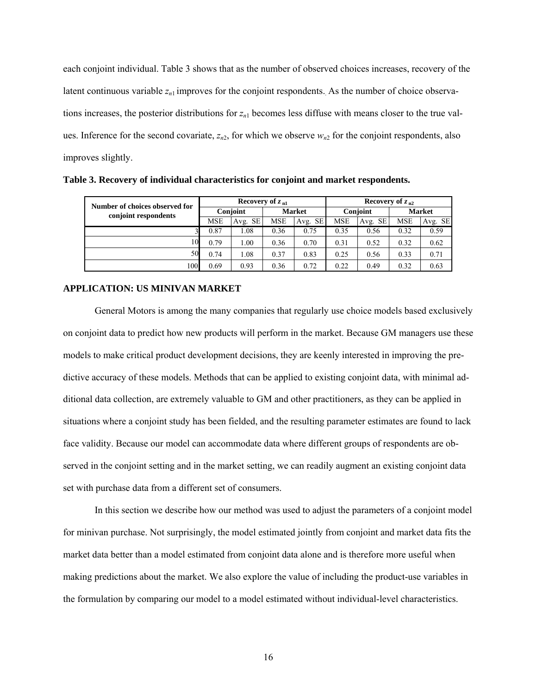each conjoint individual. [Table 3](#page-19-0) shows that as the number of observed choices increases, recovery of the latent continuous variable  $z_{n1}$  improves for the conjoint respondents. As the number of choice observations increases, the posterior distributions for  $z_{n1}$  becomes less diffuse with means closer to the true values. Inference for the second covariate,  $z_{n2}$ , for which we observe  $w_{n2}$  for the conjoint respondents, also improves slightly.

| Number of choices observed for |            | Recovery of $z_{n1}$ |            |               | Recovery of $z_{n2}$ |          |               |         |  |  |  |
|--------------------------------|------------|----------------------|------------|---------------|----------------------|----------|---------------|---------|--|--|--|
| conjoint respondents           |            | Conjoint             |            | <b>Market</b> |                      | Conjoint | <b>Market</b> |         |  |  |  |
|                                | <b>MSE</b> | SE<br>Avg.           | <b>MSE</b> | Avg. SE       | <b>MSE</b>           | Avg. SE  | <b>MSE</b>    | Avg. SE |  |  |  |
|                                | 0.87       | 0.08                 | 0.36       | 0.75          | 0.35                 | 0.56     | 0.32          | 0.59    |  |  |  |
| 10                             | 0.79       | 0.00                 | 0.36       | 0.70          | 0.31                 | 0.52     | 0.32          | 0.62    |  |  |  |
| 50                             | 0.74       | l.08                 | 0.37       | 0.83          | 0.25                 | 0.56     | 0.33          | 0.71    |  |  |  |
| 100                            | 0.69       | 0.93                 | 0.36       | 0.72          | 0.22                 | 0.49     | 0.32          | 0.63    |  |  |  |

<span id="page-19-0"></span>**Table 3. Recovery of individual characteristics for conjoint and market respondents.** 

#### **APPLICATION: US MINIVAN MARKET**

General Motors is among the many companies that regularly use choice models based exclusively on conjoint data to predict how new products will perform in the market. Because GM managers use these models to make critical product development decisions, they are keenly interested in improving the predictive accuracy of these models. Methods that can be applied to existing conjoint data, with minimal additional data collection, are extremely valuable to GM and other practitioners, as they can be applied in situations where a conjoint study has been fielded, and the resulting parameter estimates are found to lack face validity. Because our model can accommodate data where different groups of respondents are observed in the conjoint setting and in the market setting, we can readily augment an existing conjoint data set with purchase data from a different set of consumers.

In this section we describe how our method was used to adjust the parameters of a conjoint model for minivan purchase. Not surprisingly, the model estimated jointly from conjoint and market data fits the market data better than a model estimated from conjoint data alone and is therefore more useful when making predictions about the market. We also explore the value of including the product-use variables in the formulation by comparing our model to a model estimated without individual-level characteristics.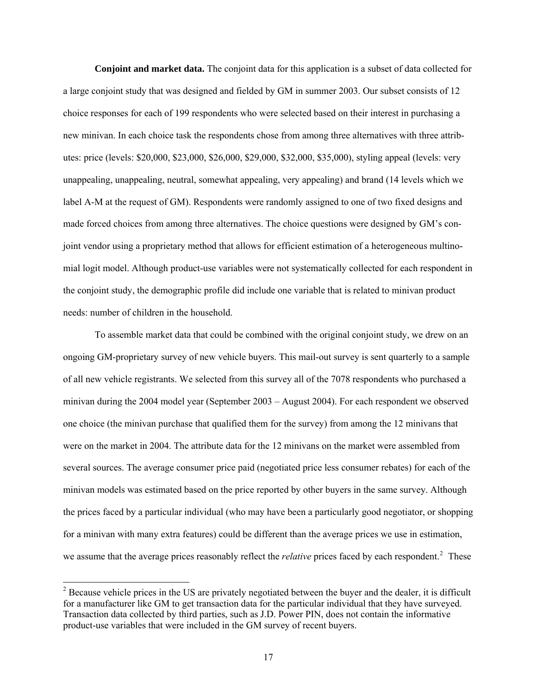**Conjoint and market data.** The conjoint data for this application is a subset of data collected for a large conjoint study that was designed and fielded by GM in summer 2003. Our subset consists of 12 choice responses for each of 199 respondents who were selected based on their interest in purchasing a new minivan. In each choice task the respondents chose from among three alternatives with three attributes: price (levels: \$20,000, \$23,000, \$26,000, \$29,000, \$32,000, \$35,000), styling appeal (levels: very unappealing, unappealing, neutral, somewhat appealing, very appealing) and brand (14 levels which we label A-M at the request of GM). Respondents were randomly assigned to one of two fixed designs and made forced choices from among three alternatives. The choice questions were designed by GM's conjoint vendor using a proprietary method that allows for efficient estimation of a heterogeneous multinomial logit model. Although product-use variables were not systematically collected for each respondent in the conjoint study, the demographic profile did include one variable that is related to minivan product needs: number of children in the household.

To assemble market data that could be combined with the original conjoint study, we drew on an ongoing GM-proprietary survey of new vehicle buyers. This mail-out survey is sent quarterly to a sample of all new vehicle registrants. We selected from this survey all of the 7078 respondents who purchased a minivan during the 2004 model year (September 2003 – August 2004). For each respondent we observed one choice (the minivan purchase that qualified them for the survey) from among the 12 minivans that were on the market in 2004. The attribute data for the 12 minivans on the market were assembled from several sources. The average consumer price paid (negotiated price less consumer rebates) for each of the minivan models was estimated based on the price reported by other buyers in the same survey. Although the prices faced by a particular individual (who may have been a particularly good negotiator, or shopping for a minivan with many extra features) could be different than the average prices we use in estimation, we assume that the average prices reasonably reflect the *relative* prices faced by each respondent.<sup>[2](#page-20-0)</sup> These

-

<span id="page-20-0"></span> $2^2$  Because vehicle prices in the US are privately negotiated between the buyer and the dealer, it is difficult for a manufacturer like GM to get transaction data for the particular individual that they have surveyed. Transaction data collected by third parties, such as J.D. Power PIN, does not contain the informative product-use variables that were included in the GM survey of recent buyers.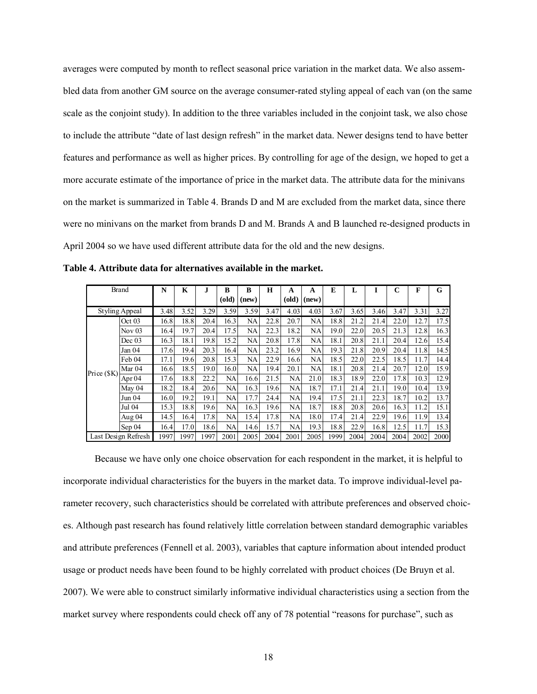averages were computed by month to reflect seasonal price variation in the market data. We also assembled data from another GM source on the average consumer-rated styling appeal of each van (on the same scale as the conjoint study). In addition to the three variables included in the conjoint task, we also chose to include the attribute "date of last design refresh" in the market data. Newer designs tend to have better features and performance as well as higher prices. By controlling for age of the design, we hoped to get a more accurate estimate of the importance of price in the market data. The attribute data for the minivans on the market is summarized in [Table 4](#page-21-0). Brands D and M are excluded from the market data, since there were no minivans on the market from brands D and M. Brands A and B launched re-designed products in April 2004 so we have used different attribute data for the old and the new designs.

| <b>Brand</b>        |                       | N    | K    | J    | B                | B         | $\bf H$ | A                | A     | E    | L    | I    | $\mathbf C$ | F    | G    |
|---------------------|-----------------------|------|------|------|------------------|-----------|---------|------------------|-------|------|------|------|-------------|------|------|
|                     |                       |      |      |      | $\textbf{(old)}$ | (new)     |         | $\textbf{(old)}$ | (new) |      |      |      |             |      |      |
|                     | <b>Styling Appeal</b> | 3.48 | 3.52 | 3.29 | 3.59             | 3.59      | 3.47    | 4.03             | 4.03  | 3.67 | 3.65 | 3.46 | 3.47        | 3.31 | 3.27 |
|                     | Oct 03                | 16.8 | 18.8 | 20.4 | 16.3             | NA        | 22.8    | 20.7             | NA    | 18.8 | 21.2 | 21.4 | 22.0        | 12.7 | 17.5 |
|                     | Nov $03$              | 16.4 | 19.7 | 20.4 | 17.5             | NA        | 22.3    | 18.2             | NA    | 19.0 | 22.0 | 20.5 | 21.3        | 12.8 | 16.3 |
|                     | Dec 03                | 16.3 | 18.1 | 19.8 | 15.2             | NA        | 20.8    | 17.8             | NA    | 18.1 | 20.8 | 21.1 | 20.4        | 12.6 | 15.4 |
|                     | Jan <sub>04</sub>     | 17.6 | 19.4 | 20.3 | 16.4             | NA        | 23.2    | 16.9             | NA    | 19.3 | 21.8 | 20.9 | 20.4        | 11.8 | 14.5 |
|                     | Feb 04                | 17.1 | 19.6 | 20.8 | 15.3             | <b>NA</b> | 22.9    | 16.6             | NA    | 18.5 | 22.0 | 22.5 | 18.5        | 11.7 | 14.4 |
| Price $(SK)$        | Mar 04                | 16.6 | 18.5 | 19.0 | 16.0             | NA        | 19.4    | 20.1             | NA    | 18.1 | 20.8 | 21.4 | 20.7        | 12.0 | 15.9 |
|                     | Apr $04$              | 17.6 | 18.8 | 22.2 | NA               | 16.6      | 21.5    | NA               | 21.0  | 18.3 | 18.9 | 22.0 | 17.8        | 10.3 | 12.9 |
|                     | May 04                | 18.2 | 18.4 | 20.6 | NA               | 16.3      | 19.6    | NA               | 18.7  | 17.1 | 21.4 | 21.1 | 19.0        | 10.4 | 13.9 |
|                     | Jun 04                | 16.0 | 19.2 | 19.1 | NA               | 17.7      | 24.4    | NA               | 19.4  | 17.5 | 21.1 | 22.3 | 18.7        | 10.2 | 13.7 |
|                     | Jul 04                | 15.3 | 18.8 | 19.6 | NA               | 16.3      | 19.6    | NA               | 18.7  | 18.8 | 20.8 | 20.6 | 16.3        | 11.2 | 15.1 |
|                     | Aug 04                | 14.5 | 16.4 | 17.8 | NA               | 15.4      | 17.8    | NA               | 18.0  | 17.4 | 21.4 | 22.9 | 19.6        | 11.9 | 13.4 |
|                     | Sep 04                | 16.4 | 17.0 | 18.6 | NA               | 14.6      | 15.7    | NA               | 19.3  | 18.8 | 22.9 | 16.8 | 12.5        | 11.7 | 15.3 |
| Last Design Refresh |                       | 1997 | 1997 | 1997 | 2001             | 2005      | 2004    | 2001             | 2005  | 1999 | 2004 | 2004 | 2004        | 2002 | 2000 |

<span id="page-21-0"></span>**Table 4. Attribute data for alternatives available in the market.** 

Because we have only one choice observation for each respondent in the market, it is helpful to incorporate individual characteristics for the buyers in the market data. To improve individual-level parameter recovery, such characteristics should be correlated with attribute preferences and observed choices. Although past research has found relatively little correlation between standard demographic variables and attribute preferences (Fennell et al. 2003), variables that capture information about intended product usage or product needs have been found to be highly correlated with product choices (De Bruyn et al. 2007). We were able to construct similarly informative individual characteristics using a section from the market survey where respondents could check off any of 78 potential "reasons for purchase", such as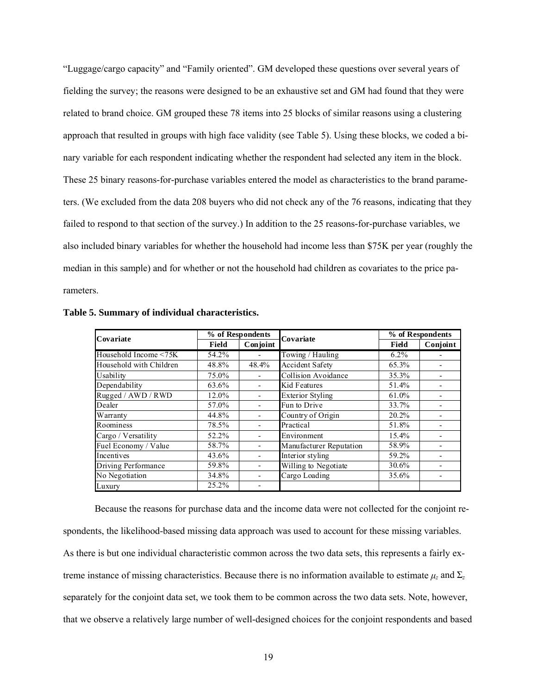"Luggage/cargo capacity" and "Family oriented". GM developed these questions over several years of fielding the survey; the reasons were designed to be an exhaustive set and GM had found that they were related to brand choice. GM grouped these 78 items into 25 blocks of similar reasons using a clustering approach that resulted in groups with high face validity (see [Table 5\)](#page-22-0). Using these blocks, we coded a binary variable for each respondent indicating whether the respondent had selected any item in the block. These 25 binary reasons-for-purchase variables entered the model as characteristics to the brand parameters. (We excluded from the data 208 buyers who did not check any of the 76 reasons, indicating that they failed to respond to that section of the survey.) In addition to the 25 reasons-for-purchase variables, we also included binary variables for whether the household had income less than \$75K per year (roughly the median in this sample) and for whether or not the household had children as covariates to the price parameters.

| Covariate               |              | % of Respondents | Covariate                  | % of Respondents |          |  |  |  |
|-------------------------|--------------|------------------|----------------------------|------------------|----------|--|--|--|
|                         | <b>Field</b> | Conjoint         |                            | Field            | Conjoint |  |  |  |
| Household Income <75K   | 54.2%        |                  | Towing / Hauling           | $6.2\%$          |          |  |  |  |
| Household with Children | 48.8%        | 48.4%            | <b>Accident Safety</b>     | 65.3%            |          |  |  |  |
| Usability               | 75.0%        |                  | <b>Collision Avoidance</b> | 35.3%            |          |  |  |  |
| Dependability           | 63.6%        |                  | Kid Features               | 51.4%            |          |  |  |  |
| Rugged / AWD / RWD      | 12.0%        |                  | <b>Exterior Styling</b>    | 61.0%            |          |  |  |  |
| Dealer                  | 57.0%        |                  | Fun to Drive               | 33.7%            |          |  |  |  |
| Warranty                | 44.8%        |                  | Country of Origin          | 20.2%            |          |  |  |  |
| Roominess               | 78.5%        |                  | Practical                  | 51.8%            |          |  |  |  |
| Cargo / Versatility     | 52.2%        |                  | Environment                | 15.4%            |          |  |  |  |
| Fuel Economy / Value    | 58.7%        |                  | Manufacturer Reputation    | 58.9%            |          |  |  |  |
| Incentives              | 43.6%        |                  | Interior styling           | 59.2%            |          |  |  |  |
| Driving Performance     | 59.8%        |                  | Willing to Negotiate       | 30.6%            |          |  |  |  |
| No Negotiation          | 34.8%        |                  | Cargo Loading              | 35.6%            |          |  |  |  |
| Luxury                  | 25.2%        |                  |                            |                  |          |  |  |  |

<span id="page-22-0"></span>**Table 5. Summary of individual characteristics.** 

Because the reasons for purchase data and the income data were not collected for the conjoint respondents, the likelihood-based missing data approach was used to account for these missing variables. As there is but one individual characteristic common across the two data sets, this represents a fairly extreme instance of missing characteristics. Because there is no information available to estimate  $\mu$ <sub>z</sub> and  $\Sigma$ <sub>z</sub> separately for the conjoint data set, we took them to be common across the two data sets. Note, however, that we observe a relatively large number of well-designed choices for the conjoint respondents and based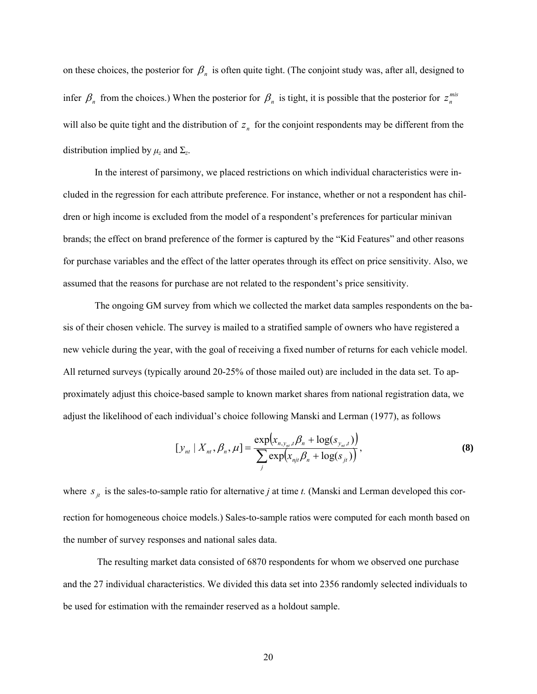on these choices, the posterior for  $\beta_n$  is often quite tight. (The conjoint study was, after all, designed to infer  $\beta_n$  from the choices.) When the posterior for  $\beta_n$  is tight, it is possible that the posterior for  $z_n^{mis}$ will also be quite tight and the distribution of  $z<sub>n</sub>$  for the conjoint respondents may be different from the distribution implied by  $\mu_z$  and  $\Sigma_z$ .

In the interest of parsimony, we placed restrictions on which individual characteristics were included in the regression for each attribute preference. For instance, whether or not a respondent has children or high income is excluded from the model of a respondent's preferences for particular minivan brands; the effect on brand preference of the former is captured by the "Kid Features" and other reasons for purchase variables and the effect of the latter operates through its effect on price sensitivity. Also, we assumed that the reasons for purchase are not related to the respondent's price sensitivity.

The ongoing GM survey from which we collected the market data samples respondents on the basis of their chosen vehicle. The survey is mailed to a stratified sample of owners who have registered a new vehicle during the year, with the goal of receiving a fixed number of returns for each vehicle model. All returned surveys (typically around 20-25% of those mailed out) are included in the data set. To approximately adjust this choice-based sample to known market shares from national registration data, we adjust the likelihood of each individual's choice following Manski and Lerman (1977), as follows

$$
[y_{nt} | X_{nt}, \beta_n, \mu] = \frac{\exp(x_{n, y_{nt}, t} \beta_n + \log(s_{y_{nt}, t}))}{\sum_j \exp(x_{njt} \beta_n + \log(s_{jt}))},
$$
(8)

where  $s_{jt}$  is the sales-to-sample ratio for alternative *j* at time *t*. (Manski and Lerman developed this correction for homogeneous choice models.) Sales-to-sample ratios were computed for each month based on the number of survey responses and national sales data.

 The resulting market data consisted of 6870 respondents for whom we observed one purchase and the 27 individual characteristics. We divided this data set into 2356 randomly selected individuals to be used for estimation with the remainder reserved as a holdout sample.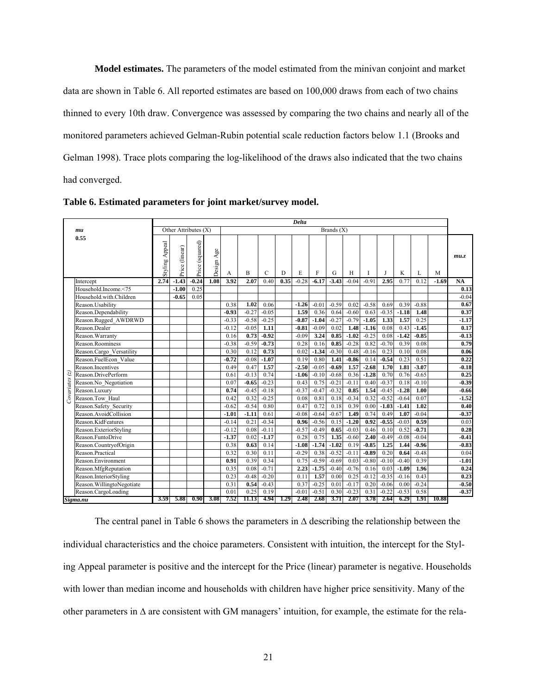**Model estimates.** The parameters of the model estimated from the minivan conjoint and market data are shown in [Table 6](#page-24-0). All reported estimates are based on 100,000 draws from each of two chains thinned to every 10th draw. Convergence was assessed by comparing the two chains and nearly all of the monitored parameters achieved Gelman-Rubin potential scale reduction factors below 1.1 (Brooks and Gelman 1998). Trace plots comparing the log-likelihood of the draws also indicated that the two chains had converged.

|            |                            |                |                      |                 |            |         |         |             |      | Delta   |         |              |         |         |         |         |         |         |           |
|------------|----------------------------|----------------|----------------------|-----------------|------------|---------|---------|-------------|------|---------|---------|--------------|---------|---------|---------|---------|---------|---------|-----------|
|            | mu                         |                | Other Attributes (X) |                 |            |         |         |             |      |         |         | Brands $(X)$ |         |         |         |         |         |         |           |
|            | 0.55                       | Styling Appeal | Price (linear)       | Price (squared) | Design Age | А       | B       | $\mathbf C$ | D    | E       | F       | G            | H       |         | I       | K       | L       | M       | mu.7      |
|            | Intercept                  | 2.74           | $-1.43$              | $-0.24$         | 1.08       | 3.92    | 2.07    | 0.40        | 0.35 | $-0.28$ | $-6.17$ | $-3.43$      | $-0.04$ | $-0.91$ | 2.95    | 0.77    | 0.12    | $-1.69$ | <b>NA</b> |
|            | Household.Income.<75       |                | $-1.00$              | 0.25            |            |         |         |             |      |         |         |              |         |         |         |         |         |         | 0.13      |
|            | Household with Children    |                | $-0.65$              | 0.05            |            |         |         |             |      |         |         |              |         |         |         |         |         |         | $-0.04$   |
|            | Reason. Usability          |                |                      |                 |            | 0.38    | 1.02    | 0.06        |      | $-1.26$ | $-0.01$ | $-0.59$      | 0.02    | $-0.58$ | 0.69    | 0.39    | $-0.88$ |         | 0.67      |
|            | Reason.Dependability       |                |                      |                 |            | $-0.93$ | $-0.27$ | $-0.05$     |      | 1.59    | 0.36    | 0.64         | $-0.60$ | 0.63    | $-0.35$ | $-1.18$ | 1.48    |         | 0.37      |
|            | Reason.Rugged AWDRWD       |                |                      |                 |            | $-0.33$ | $-0.58$ | $-0.25$     |      | $-0.87$ | $-1.04$ | $-0.27$      | $-0.79$ | $-1.05$ | 1.33    | 1.57    | 0.25    |         | $-1.17$   |
|            | <b>Reason Dealer</b>       |                |                      |                 |            | $-0.12$ | $-0.05$ | 1.11        |      | $-0.81$ | $-0.09$ | 0.02         | 1.48    | $-1.16$ | 0.08    | 0.43    | $-1.45$ |         | 0.17      |
|            | Reason Warranty            |                |                      |                 |            | 0.16    | 0.73    | $-0.92$     |      | $-0.09$ | 3.24    | 0.85         | $-1.02$ | $-0.25$ | 0.08    | $-1.42$ | $-0.85$ |         | $-0.13$   |
|            | <b>Reason Roominess</b>    |                |                      |                 |            | $-0.38$ | $-0.59$ | $-0.73$     |      | 0.28    | 0.16    | 0.85         | $-0.28$ | 0.82    | $-0.70$ | 0.39    | 0.08    |         | 0.79      |
|            | Reason.Cargo Versatility   |                |                      |                 |            | 0.30    | 0.12    | 0.73        |      | 0.02    | $-1.34$ | $-0.30$      | 0.48    | $-0.16$ | 0.23    | 0.10    | 0.08    |         | 0.06      |
|            | Reason FuelEcon Value      |                |                      |                 |            | $-0.72$ | $-0.08$ | $-1.07$     |      | 0.19    | 0.80    | 1.41         | $-0.86$ | 0.14    | $-0.54$ | 0.23    | 0.51    |         | 0.22      |
|            | <b>Reason Incentives</b>   |                |                      |                 |            | 0.49    | 0.47    | 1.57        |      | $-2.50$ | $-0.05$ | $-0.69$      | 1.57    | $-2.68$ | 1.70    | 1.81    | $-3.07$ |         | $-0.18$   |
| T          | Reason.DrivePerform        |                |                      |                 |            | 0.61    | $-0.13$ | 0.74        |      | $-1.06$ | $-0.10$ | $-0.68$      | 0.36    | $-1.28$ | 0.70    | 0.76    | $-0.65$ |         | 0.25      |
| Covariates | Reason.No Negotiation      |                |                      |                 |            | 0.07    | $-0.65$ | $-0.23$     |      | 0.43    | 0.75    | $-0.21$      | $-0.11$ | 0.40    | $-0.37$ | 0.18    | $-0.10$ |         | $-0.39$   |
|            | Reason.Luxury              |                |                      |                 |            | 0.74    | $-0.45$ | $-0.18$     |      | $-0.37$ | $-0.47$ | $-0.32$      | 0.85    | 1.54    | $-0.45$ | $-1.28$ | 1.00    |         | $-0.66$   |
|            | Reason.Tow Haul            |                |                      |                 |            | 0.42    | 0.32    | $-0.25$     |      | 0.08    | 0.81    | 0.18         | $-0.34$ | 0.32    | $-0.52$ | $-0.64$ | 0.07    |         | $-1.52$   |
|            | Reason.Safety Security     |                |                      |                 |            | $-0.62$ | $-0.54$ | 0.80        |      | 0.47    | 0.72    | 0.18         | 0.39    | 0.00    | $-1.03$ | $-1.41$ | 1.02    |         | 0.40      |
|            | Reason.AvoidCollision      |                |                      |                 |            | $-1.01$ | $-1.11$ | 0.61        |      | $-0.08$ | $-0.64$ | $-0.67$      | 1.49    | 0.74    | 0.49    | 1.07    | $-0.04$ |         | $-0.37$   |
|            | Reason KidFeatures         |                |                      |                 |            | $-0.14$ | 0.21    | $-0.34$     |      | 0.96    | $-0.56$ | 0.15         | $-1.20$ | 0.92    | $-0.55$ | $-0.03$ | 0.59    |         | 0.03      |
|            | Reason.ExteriorStyling     |                |                      |                 |            | $-0.12$ | 0.08    | $-0.11$     |      | $-0.57$ | $-0.49$ | 0.65         | $-0.03$ | 0.46    | 0.10    | 0.52    | $-0.71$ |         | 0.28      |
|            | Reason.FuntoDrive          |                |                      |                 |            | $-1.37$ | 0.02    | $-1.17$     |      | 0.28    | 0.75    | 1.35         | $-0.60$ | 2.40    | $-0.49$ | $-0.08$ | $-0.04$ |         | $-0.41$   |
|            | Reason.CountryofOrigin     |                |                      |                 |            | 0.38    | 0.63    | 0.14        |      | $-1.08$ | $-1.74$ | $-1.02$      | 0.19    | $-0.85$ | 1.25    | 1.44    | $-0.96$ |         | $-0.83$   |
|            | Reason Practical           |                |                      |                 |            | 0.32    | 0.30    | 0.11        |      | $-0.29$ | 0.38    | $-0.52$      | $-0.11$ | $-0.89$ | 0.20    | 0.64    | $-0.48$ |         | 0.04      |
|            | Reason.Environment         |                |                      |                 |            | 0.91    | 0.39    | 0.34        |      | 0.75    | $-0.59$ | $-0.69$      | 0.03    | $-0.80$ | $-0.10$ | $-0.40$ | 0.39    |         | $-1.01$   |
|            | Reason.MfgReputation       |                |                      |                 |            | 0.35    | 0.08    | $-0.71$     |      | 2.23    | $-1.75$ | $-0.40$      | $-0.76$ | 0.16    | 0.03    | $-1.09$ | 1.96    |         | 0.24      |
|            | Reason.InteriorStyling     |                |                      |                 |            | 0.23    | $-0.48$ | $-0.20$     |      | 0.11    | 1.57    | 0.00         | 0.25    | $-0.12$ | $-0.35$ | $-0.16$ | 0.43    |         | 0.23      |
|            | Reason. WillingtoNegotiate |                |                      |                 |            | 0.31    | 0.54    | $-0.43$     |      | 0.37    | $-0.25$ | 0.01         | $-0.17$ | 0.20    | $-0.06$ | 0.00    | $-0.24$ |         | $-0.50$   |
|            | Reason.CargoLoading        |                |                      |                 |            | 0.01    | 0.25    | 0.19        |      | $-0.01$ | $-0.51$ | 0.30         | $-0.23$ | 0.31    | $-0.22$ | $-0.53$ | 0.58    |         | $-0.37$   |
|            | Sigma.nu                   | 3.59           | 5.88                 | 0.90            | 3.08       | 7.52    | 11.13   | 4.94        | 1.29 | 2.48    | 2.68    | 3.71         | 2.07    | 3.78    | 2.64    | 6.29    | 1.91    | 10.88   |           |

<span id="page-24-0"></span>**Table 6. Estimated parameters for joint market/survey model.** 

The central panel in [Table 6](#page-24-0) shows the parameters in  $\Delta$  describing the relationship between the individual characteristics and the choice parameters. Consistent with intuition, the intercept for the Styling Appeal parameter is positive and the intercept for the Price (linear) parameter is negative. Households with lower than median income and households with children have higher price sensitivity. Many of the other parameters in  $\Delta$  are consistent with GM managers' intuition, for example, the estimate for the rela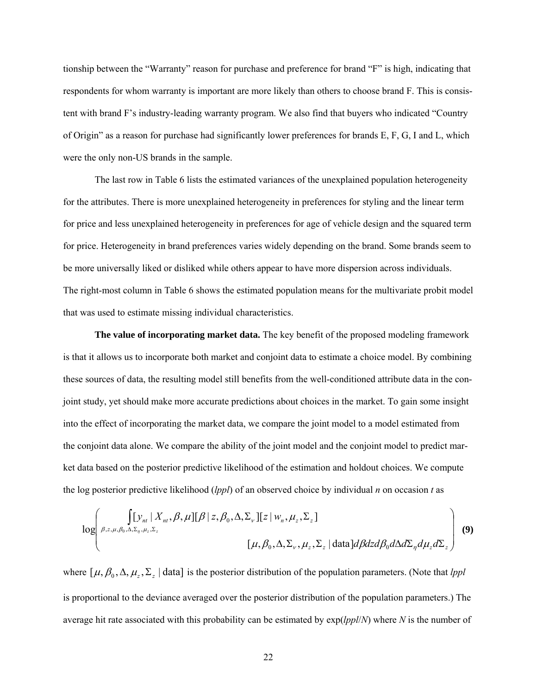tionship between the "Warranty" reason for purchase and preference for brand "F" is high, indicating that respondents for whom warranty is important are more likely than others to choose brand F. This is consistent with brand F's industry-leading warranty program. We also find that buyers who indicated "Country of Origin" as a reason for purchase had significantly lower preferences for brands E, F, G, I and L, which were the only non-US brands in the sample.

The last row in [Table 6](#page-24-0) lists the estimated variances of the unexplained population heterogeneity for the attributes. There is more unexplained heterogeneity in preferences for styling and the linear term for price and less unexplained heterogeneity in preferences for age of vehicle design and the squared term for price. Heterogeneity in brand preferences varies widely depending on the brand. Some brands seem to be more universally liked or disliked while others appear to have more dispersion across individuals. The right-most column in [Table 6](#page-24-0) shows the estimated population means for the multivariate probit model that was used to estimate missing individual characteristics.

**The value of incorporating market data.** The key benefit of the proposed modeling framework is that it allows us to incorporate both market and conjoint data to estimate a choice model. By combining these sources of data, the resulting model still benefits from the well-conditioned attribute data in the conjoint study, yet should make more accurate predictions about choices in the market. To gain some insight into the effect of incorporating the market data, we compare the joint model to a model estimated from the conjoint data alone. We compare the ability of the joint model and the conjoint model to predict market data based on the posterior predictive likelihood of the estimation and holdout choices. We compute the log posterior predictive likelihood (*lppl*) of an observed choice by individual *n* on occasion *t* as

$$
\log \left( \frac{\int [y_{nt} | X_{nt}, \beta, \mu][\beta | z, \beta_0, \Delta, \Sigma_{\nu}][z | w_n, \mu_z, \Sigma_z]}{\mu, \beta_0, \Delta, \Sigma_{\nu}, \mu_z, \Sigma_z \right) \left( \mu, \beta_0, \Delta, \Sigma_{\nu}, \mu_z, \Sigma_z \right) d\alpha d\beta d\alpha d\beta_0 d\Delta d\Sigma_{\eta} d\mu_z d\Sigma_z}
$$
 (9)

where  $[\mu, \beta_0, \Delta, \mu_z, \Sigma_z]$  data] is the posterior distribution of the population parameters. (Note that *lppl* is proportional to the deviance averaged over the posterior distribution of the population parameters.) The average hit rate associated with this probability can be estimated by exp(*lppl*/*N*) where *N* is the number of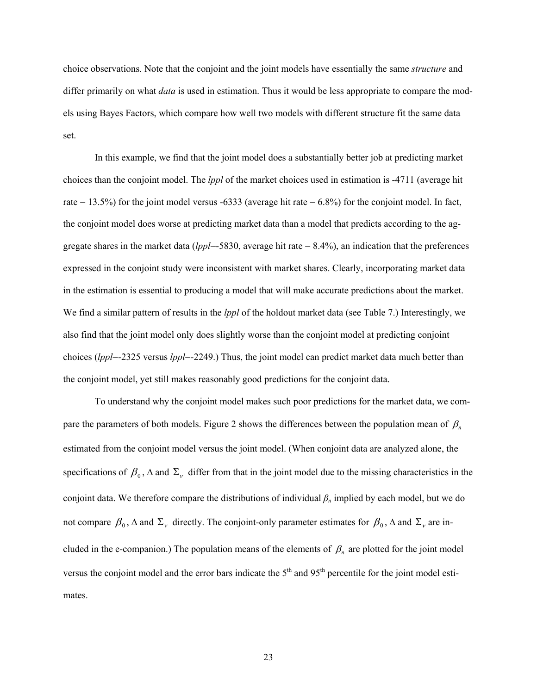choice observations. Note that the conjoint and the joint models have essentially the same *structure* and differ primarily on what *data* is used in estimation. Thus it would be less appropriate to compare the models using Bayes Factors, which compare how well two models with different structure fit the same data set.

In this example, we find that the joint model does a substantially better job at predicting market choices than the conjoint model. The *lppl* of the market choices used in estimation is -4711 (average hit rate = 13.5%) for the joint model versus -6333 (average hit rate =  $6.8\%$ ) for the conjoint model. In fact, the conjoint model does worse at predicting market data than a model that predicts according to the aggregate shares in the market data (*lppl*=-5830, average hit rate = 8.4%), an indication that the preferences expressed in the conjoint study were inconsistent with market shares. Clearly, incorporating market data in the estimation is essential to producing a model that will make accurate predictions about the market. We find a similar pattern of results in the *lppl* of the holdout market data (see [Table 7](#page-28-0).) Interestingly, we also find that the joint model only does slightly worse than the conjoint model at predicting conjoint choices (*lppl*=-2325 versus *lppl*=-2249.) Thus, the joint model can predict market data much better than the conjoint model, yet still makes reasonably good predictions for the conjoint data.

To understand why the conjoint model makes such poor predictions for the market data, we com-pare the parameters of both models. [Figure 2](#page-27-0) shows the differences between the population mean of  $\beta_n$ estimated from the conjoint model versus the joint model. (When conjoint data are analyzed alone, the specifications of  $\beta_0$ ,  $\Delta$  and  $\Sigma_{\nu}$  differ from that in the joint model due to the missing characteristics in the conjoint data. We therefore compare the distributions of individual  $\beta_n$  implied by each model, but we do not compare  $\beta_0$ ,  $\Delta$  and  $\Sigma_{\nu}$  directly. The conjoint-only parameter estimates for  $\beta_0$ ,  $\Delta$  and  $\Sigma_{\nu}$  are included in the e-companion.) The population means of the elements of  $\beta_n$  are plotted for the joint model versus the conjoint model and the error bars indicate the  $5<sup>th</sup>$  and  $95<sup>th</sup>$  percentile for the joint model estimates.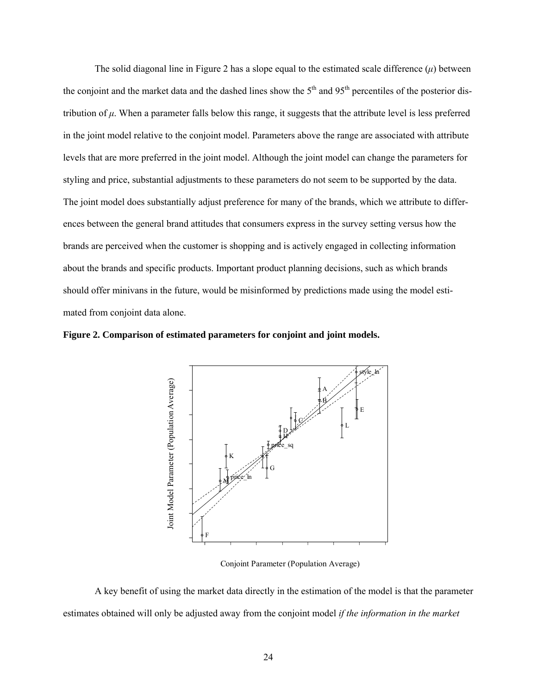The solid diagonal line in [Figure 2](#page-27-0) has a slope equal to the estimated scale difference  $(\mu)$  between the conjoint and the market data and the dashed lines show the  $5<sup>th</sup>$  and  $95<sup>th</sup>$  percentiles of the posterior distribution of *μ*. When a parameter falls below this range, it suggests that the attribute level is less preferred in the joint model relative to the conjoint model. Parameters above the range are associated with attribute levels that are more preferred in the joint model. Although the joint model can change the parameters for styling and price, substantial adjustments to these parameters do not seem to be supported by the data. The joint model does substantially adjust preference for many of the brands, which we attribute to differences between the general brand attitudes that consumers express in the survey setting versus how the brands are perceived when the customer is shopping and is actively engaged in collecting information about the brands and specific products. Important product planning decisions, such as which brands should offer minivans in the future, would be misinformed by predictions made using the model estimated from conjoint data alone.

<span id="page-27-0"></span>



Conjoint Parameter (Population Average)

A key benefit of using the market data directly in the estimation of the model is that the parameter estimates obtained will only be adjusted away from the conjoint model *if the information in the market*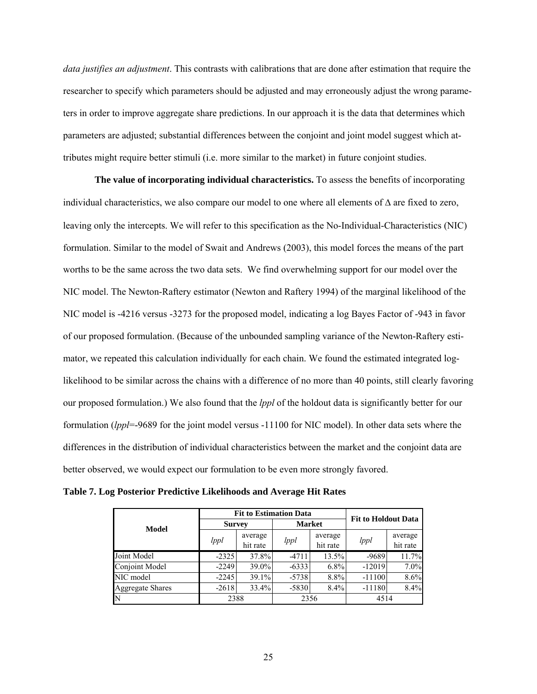*data justifies an adjustment*. This contrasts with calibrations that are done after estimation that require the researcher to specify which parameters should be adjusted and may erroneously adjust the wrong parameters in order to improve aggregate share predictions. In our approach it is the data that determines which parameters are adjusted; substantial differences between the conjoint and joint model suggest which attributes might require better stimuli (i.e. more similar to the market) in future conjoint studies.

**The value of incorporating individual characteristics.** To assess the benefits of incorporating individual characteristics, we also compare our model to one where all elements of Δ are fixed to zero, leaving only the intercepts. We will refer to this specification as the No-Individual-Characteristics (NIC) formulation. Similar to the model of Swait and Andrews (2003), this model forces the means of the part worths to be the same across the two data sets. We find overwhelming support for our model over the NIC model. The Newton-Raftery estimator (Newton and Raftery 1994) of the marginal likelihood of the NIC model is -4216 versus -3273 for the proposed model, indicating a log Bayes Factor of -943 in favor of our proposed formulation. (Because of the unbounded sampling variance of the Newton-Raftery estimator, we repeated this calculation individually for each chain. We found the estimated integrated loglikelihood to be similar across the chains with a difference of no more than 40 points, still clearly favoring our proposed formulation.) We also found that the *lppl* of the holdout data is significantly better for our formulation (*lppl*=-9689 for the joint model versus -11100 for NIC model). In other data sets where the differences in the distribution of individual characteristics between the market and the conjoint data are better observed, we would expect our formulation to be even more strongly favored.

|                         |                             |          | <b>Fit to Estimation Data</b> |                     | <b>Fit to Holdout Data</b> |                     |  |  |  |
|-------------------------|-----------------------------|----------|-------------------------------|---------------------|----------------------------|---------------------|--|--|--|
| Model                   | <b>Survey</b>               |          | <b>Market</b>                 |                     |                            |                     |  |  |  |
|                         | average<br>lppl<br>hit rate |          | lppl                          | average<br>hit rate | lppl                       | average<br>hit rate |  |  |  |
| Joint Model             | $-2325$                     | 37.8%    | $-4711$                       | 13.5%               | $-9689$                    | 11.7%               |  |  |  |
| Conjoint Model          | $-2249$                     | $39.0\%$ | $-6333$                       | $6.8\%$             | $-12019$                   | 7.0%                |  |  |  |
| NIC model               | $-2245$                     | 39.1%    | $-5738$                       | $8.8\%$             | $-11100$                   | 8.6%                |  |  |  |
| <b>Aggregate Shares</b> | $-2618$                     | 33.4%    | $-5830$                       | 8.4%                | $-11180$                   | 8.4%                |  |  |  |
|                         | 2388                        |          | 2356                          |                     | 4514                       |                     |  |  |  |

<span id="page-28-0"></span>**Table 7. Log Posterior Predictive Likelihoods and Average Hit Rates**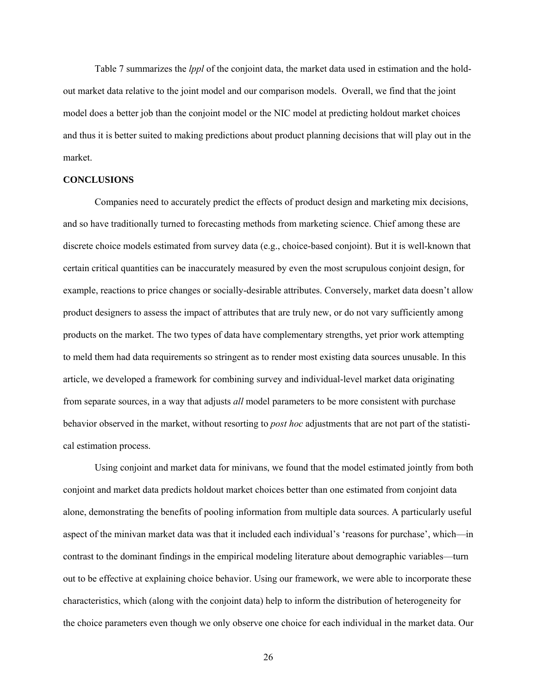[Table 7](#page-28-0) summarizes the *lppl* of the conjoint data, the market data used in estimation and the holdout market data relative to the joint model and our comparison models. Overall, we find that the joint model does a better job than the conjoint model or the NIC model at predicting holdout market choices and thus it is better suited to making predictions about product planning decisions that will play out in the market.

#### **CONCLUSIONS**

Companies need to accurately predict the effects of product design and marketing mix decisions, and so have traditionally turned to forecasting methods from marketing science. Chief among these are discrete choice models estimated from survey data (e.g., choice-based conjoint). But it is well-known that certain critical quantities can be inaccurately measured by even the most scrupulous conjoint design, for example, reactions to price changes or socially-desirable attributes. Conversely, market data doesn't allow product designers to assess the impact of attributes that are truly new, or do not vary sufficiently among products on the market. The two types of data have complementary strengths, yet prior work attempting to meld them had data requirements so stringent as to render most existing data sources unusable. In this article, we developed a framework for combining survey and individual-level market data originating from separate sources, in a way that adjusts *all* model parameters to be more consistent with purchase behavior observed in the market, without resorting to *post hoc* adjustments that are not part of the statistical estimation process.

 Using conjoint and market data for minivans, we found that the model estimated jointly from both conjoint and market data predicts holdout market choices better than one estimated from conjoint data alone, demonstrating the benefits of pooling information from multiple data sources. A particularly useful aspect of the minivan market data was that it included each individual's 'reasons for purchase', which—in contrast to the dominant findings in the empirical modeling literature about demographic variables—turn out to be effective at explaining choice behavior. Using our framework, we were able to incorporate these characteristics, which (along with the conjoint data) help to inform the distribution of heterogeneity for the choice parameters even though we only observe one choice for each individual in the market data. Our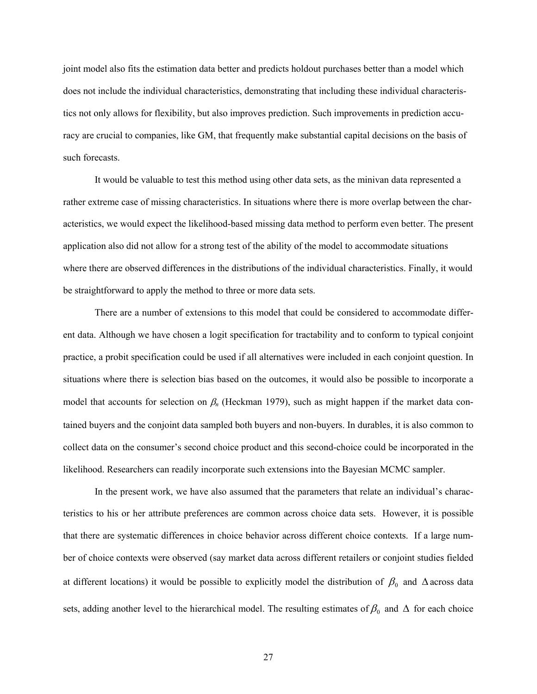joint model also fits the estimation data better and predicts holdout purchases better than a model which does not include the individual characteristics, demonstrating that including these individual characteristics not only allows for flexibility, but also improves prediction. Such improvements in prediction accuracy are crucial to companies, like GM, that frequently make substantial capital decisions on the basis of such forecasts.

 It would be valuable to test this method using other data sets, as the minivan data represented a rather extreme case of missing characteristics. In situations where there is more overlap between the characteristics, we would expect the likelihood-based missing data method to perform even better. The present application also did not allow for a strong test of the ability of the model to accommodate situations where there are observed differences in the distributions of the individual characteristics. Finally, it would be straightforward to apply the method to three or more data sets.

There are a number of extensions to this model that could be considered to accommodate different data. Although we have chosen a logit specification for tractability and to conform to typical conjoint practice, a probit specification could be used if all alternatives were included in each conjoint question. In situations where there is selection bias based on the outcomes, it would also be possible to incorporate a model that accounts for selection on β*n* (Heckman 1979), such as might happen if the market data contained buyers and the conjoint data sampled both buyers and non-buyers. In durables, it is also common to collect data on the consumer's second choice product and this second-choice could be incorporated in the likelihood. Researchers can readily incorporate such extensions into the Bayesian MCMC sampler.

In the present work, we have also assumed that the parameters that relate an individual's characteristics to his or her attribute preferences are common across choice data sets. However, it is possible that there are systematic differences in choice behavior across different choice contexts. If a large number of choice contexts were observed (say market data across different retailers or conjoint studies fielded at different locations) it would be possible to explicitly model the distribution of  $\beta_0$  and  $\Delta$  across data sets, adding another level to the hierarchical model. The resulting estimates of  $\beta_0$  and  $\Delta$  for each choice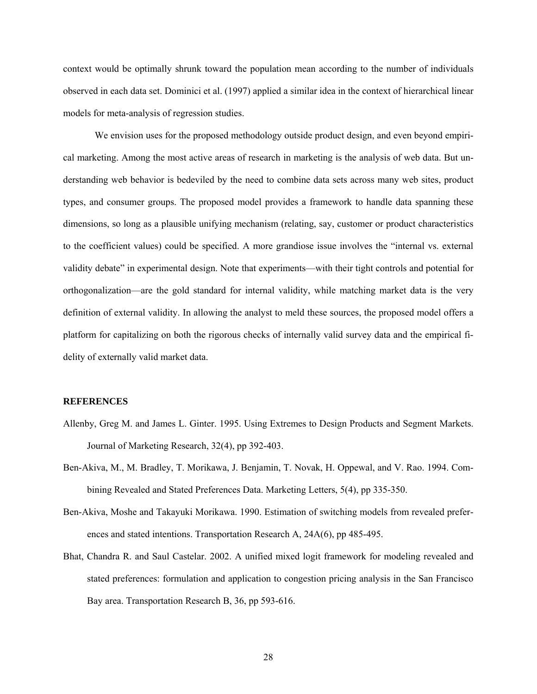context would be optimally shrunk toward the population mean according to the number of individuals observed in each data set. Dominici et al. (1997) applied a similar idea in the context of hierarchical linear models for meta-analysis of regression studies.

We envision uses for the proposed methodology outside product design, and even beyond empirical marketing. Among the most active areas of research in marketing is the analysis of web data. But understanding web behavior is bedeviled by the need to combine data sets across many web sites, product types, and consumer groups. The proposed model provides a framework to handle data spanning these dimensions, so long as a plausible unifying mechanism (relating, say, customer or product characteristics to the coefficient values) could be specified. A more grandiose issue involves the "internal vs. external validity debate" in experimental design. Note that experiments—with their tight controls and potential for orthogonalization—are the gold standard for internal validity, while matching market data is the very definition of external validity. In allowing the analyst to meld these sources, the proposed model offers a platform for capitalizing on both the rigorous checks of internally valid survey data and the empirical fidelity of externally valid market data.

## **REFERENCES**

- Allenby, Greg M. and James L. Ginter. 1995. Using Extremes to Design Products and Segment Markets. Journal of Marketing Research, 32(4), pp 392-403.
- Ben-Akiva, M., M. Bradley, T. Morikawa, J. Benjamin, T. Novak, H. Oppewal, and V. Rao. 1994. Combining Revealed and Stated Preferences Data. Marketing Letters, 5(4), pp 335-350.
- Ben-Akiva, Moshe and Takayuki Morikawa. 1990. Estimation of switching models from revealed preferences and stated intentions. Transportation Research A, 24A(6), pp 485-495.
- Bhat, Chandra R. and Saul Castelar. 2002. A unified mixed logit framework for modeling revealed and stated preferences: formulation and application to congestion pricing analysis in the San Francisco Bay area. Transportation Research B, 36, pp 593-616.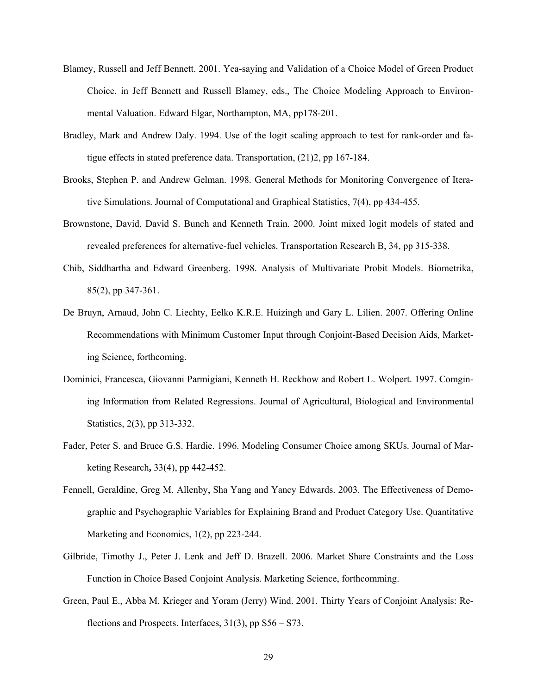- Blamey, Russell and Jeff Bennett. 2001. Yea-saying and Validation of a Choice Model of Green Product Choice. in Jeff Bennett and Russell Blamey, eds., The Choice Modeling Approach to Environmental Valuation. Edward Elgar, Northampton, MA, pp178-201.
- Bradley, Mark and Andrew Daly. 1994. Use of the logit scaling approach to test for rank-order and fatigue effects in stated preference data. Transportation, (21)2, pp 167-184.
- Brooks, Stephen P. and Andrew Gelman. 1998. General Methods for Monitoring Convergence of Iterative Simulations. Journal of Computational and Graphical Statistics, 7(4), pp 434-455.
- Brownstone, David, David S. Bunch and Kenneth Train. 2000. Joint mixed logit models of stated and revealed preferences for alternative-fuel vehicles. Transportation Research B, 34, pp 315-338.
- Chib, Siddhartha and Edward Greenberg. 1998. Analysis of Multivariate Probit Models. Biometrika, 85(2), pp 347-361.
- De Bruyn, Arnaud, John C. Liechty, Eelko K.R.E. Huizingh and Gary L. Lilien. 2007. Offering Online Recommendations with Minimum Customer Input through Conjoint-Based Decision Aids, Marketing Science, forthcoming.
- Dominici, Francesca, Giovanni Parmigiani, Kenneth H. Reckhow and Robert L. Wolpert. 1997. Comgining Information from Related Regressions. Journal of Agricultural, Biological and Environmental Statistics, 2(3), pp 313-332.
- Fader, Peter S. and Bruce G.S. Hardie. 1996. Modeling Consumer Choice among SKUs. Journal of Marketing Research**,** 33(4), pp 442-452.
- Fennell, Geraldine, Greg M. Allenby, Sha Yang and Yancy Edwards. 2003. The Effectiveness of Demographic and Psychographic Variables for Explaining Brand and Product Category Use. Quantitative Marketing and Economics, 1(2), pp 223-244.
- Gilbride, Timothy J., Peter J. Lenk and Jeff D. Brazell. 2006. Market Share Constraints and the Loss Function in Choice Based Conjoint Analysis. Marketing Science, forthcomming.
- Green, Paul E., Abba M. Krieger and Yoram (Jerry) Wind. 2001. Thirty Years of Conjoint Analysis: Reflections and Prospects. Interfaces, 31(3), pp S56 – S73.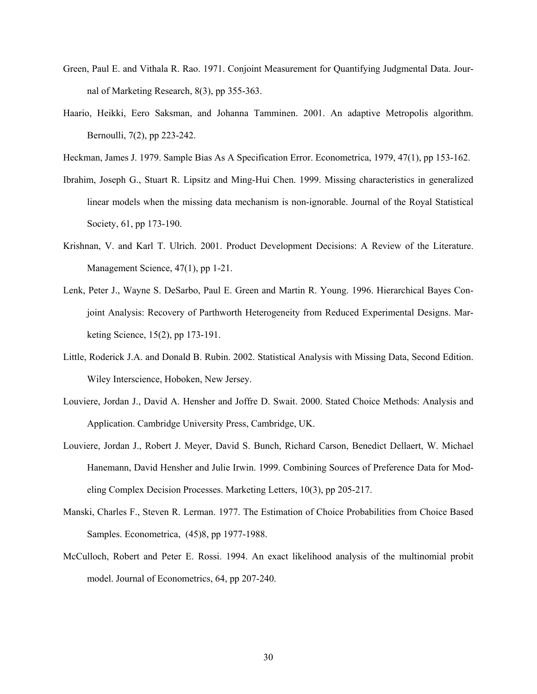- Green, Paul E. and Vithala R. Rao. 1971. Conjoint Measurement for Quantifying Judgmental Data. Journal of Marketing Research, 8(3), pp 355-363.
- Haario, Heikki, Eero Saksman, and Johanna Tamminen. 2001. An adaptive Metropolis algorithm. Bernoulli, 7(2), pp 223-242.
- Heckman, James J. 1979. Sample Bias As A Specification Error. Econometrica, 1979, 47(1), pp 153-162.
- Ibrahim, Joseph G., Stuart R. Lipsitz and Ming-Hui Chen. 1999. Missing characteristics in generalized linear models when the missing data mechanism is non-ignorable. Journal of the Royal Statistical Society, 61, pp 173-190.
- Krishnan, V. and Karl T. Ulrich. 2001. Product Development Decisions: A Review of the Literature. Management Science, 47(1), pp 1-21.
- Lenk, Peter J., Wayne S. DeSarbo, Paul E. Green and Martin R. Young. 1996. Hierarchical Bayes Conjoint Analysis: Recovery of Parthworth Heterogeneity from Reduced Experimental Designs. Marketing Science, 15(2), pp 173-191.
- Little, Roderick J.A. and Donald B. Rubin. 2002. Statistical Analysis with Missing Data, Second Edition. Wiley Interscience, Hoboken, New Jersey.
- Louviere, Jordan J., David A. Hensher and Joffre D. Swait. 2000. Stated Choice Methods: Analysis and Application. Cambridge University Press, Cambridge, UK.
- Louviere, Jordan J., Robert J. Meyer, David S. Bunch, Richard Carson, Benedict Dellaert, W. Michael Hanemann, David Hensher and Julie Irwin. 1999. Combining Sources of Preference Data for Modeling Complex Decision Processes. Marketing Letters, 10(3), pp 205-217.
- Manski, Charles F., Steven R. Lerman. 1977. The Estimation of Choice Probabilities from Choice Based Samples. Econometrica, (45)8, pp 1977-1988.
- McCulloch, Robert and Peter E. Rossi. 1994. An exact likelihood analysis of the multinomial probit model. Journal of Econometrics, 64, pp 207-240.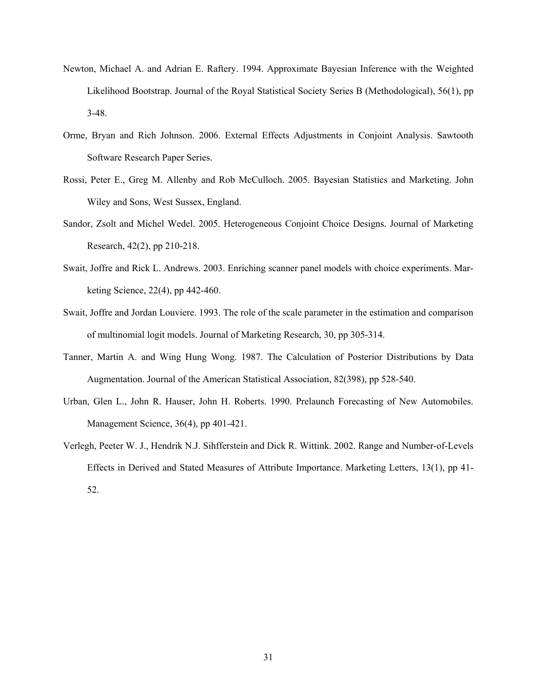- Newton, Michael A. and Adrian E. Raftery. 1994. Approximate Bayesian Inference with the Weighted Likelihood Bootstrap. Journal of the Royal Statistical Society Series B (Methodological), 56(1), pp 3-48.
- Orme, Bryan and Rich Johnson. 2006. External Effects Adjustments in Conjoint Analysis. Sawtooth Software Research Paper Series.
- Rossi, Peter E., Greg M. Allenby and Rob McCulloch. 2005. Bayesian Statistics and Marketing. John Wiley and Sons, West Sussex, England.
- Sandor, Zsolt and Michel Wedel. 2005. Heterogeneous Conjoint Choice Designs. Journal of Marketing Research, 42(2), pp 210-218.
- Swait, Joffre and Rick L. Andrews. 2003. Enriching scanner panel models with choice experiments. Marketing Science, 22(4), pp 442-460.
- Swait, Joffre and Jordan Louviere. 1993. The role of the scale parameter in the estimation and comparison of multinomial logit models. Journal of Marketing Research, 30, pp 305-314.
- Tanner, Martin A. and Wing Hung Wong. 1987. The Calculation of Posterior Distributions by Data Augmentation. Journal of the American Statistical Association, 82(398), pp 528-540.
- Urban, Glen L., John R. Hauser, John H. Roberts. 1990. Prelaunch Forecasting of New Automobiles. Management Science, 36(4), pp 401-421.
- Verlegh, Peeter W. J., Hendrik N.J. Sihfferstein and Dick R. Wittink. 2002. Range and Number-of-Levels Effects in Derived and Stated Measures of Attribute Importance. Marketing Letters, 13(1), pp 41- 52.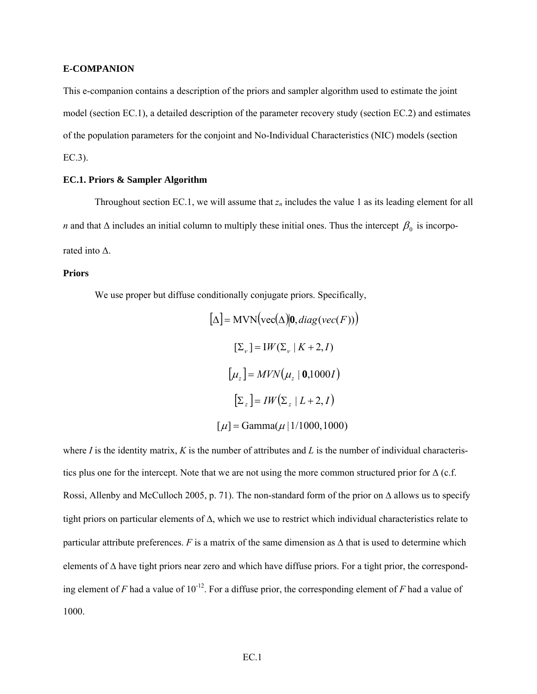#### **E-COMPANION**

This e-companion contains a description of the priors and sampler algorithm used to estimate the joint model (section EC.1), a detailed description of the parameter recovery study (section EC.2) and estimates of the population parameters for the conjoint and No-Individual Characteristics (NIC) models (section EC.3).

## **EC.1. Priors & Sampler Algorithm**

Throughout section EC.1, we will assume that  $z_n$  includes the value 1 as its leading element for all *n* and that  $\Delta$  includes an initial column to multiply these initial ones. Thus the intercept  $\beta_0$  is incorporated into Δ.

#### **Priors**

We use proper but diffuse conditionally conjugate priors. Specifically,

$$
[\Delta] = MVN(\text{vec}(\Delta)|0, diag(\text{vec}(F)))
$$

$$
[\Sigma_{\nu}] = IW(\Sigma_{\nu} | K + 2, I)
$$

$$
[\mu_z] = MVN(\mu_z | 0, 1000I)
$$

$$
[\Sigma_z] = IW(\Sigma_z | L + 2, I)
$$

$$
[\mu] = \text{Gamma}(\mu | 1/1000, 1000)
$$

where *I* is the identity matrix, *K* is the number of attributes and *L* is the number of individual characteristics plus one for the intercept. Note that we are not using the more common structured prior for  $\Delta$  (c.f. Rossi, Allenby and McCulloch 2005, p. 71). The non-standard form of the prior on Δ allows us to specify tight priors on particular elements of Δ, which we use to restrict which individual characteristics relate to particular attribute preferences.  $F$  is a matrix of the same dimension as  $\Delta$  that is used to determine which elements of Δ have tight priors near zero and which have diffuse priors. For a tight prior, the corresponding element of *F* had a value of  $10^{-12}$ . For a diffuse prior, the corresponding element of *F* had a value of 1000.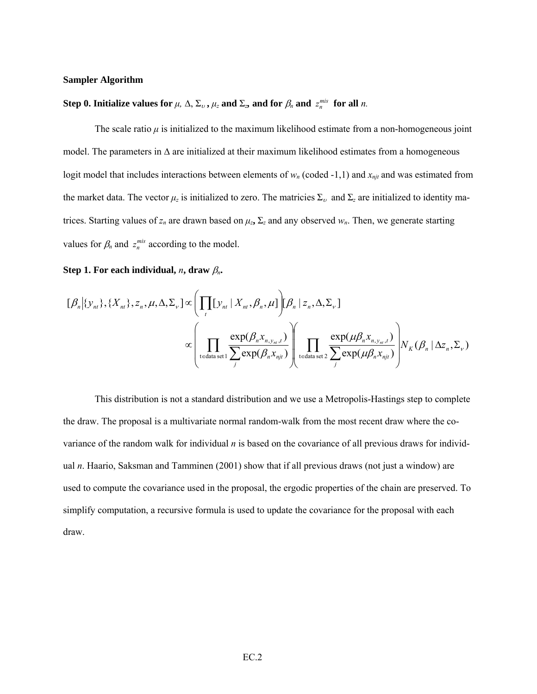### **Sampler Algorithm**

# **Step 0. Initialize values for**  $\mu$ ,  $\Delta$ ,  $\Sigma$ <sub>*v*</sub>,  $\mu$ <sub>*z*</sub> **and**  $\Sigma$ <sub>*z*</sub> **and** for  $\beta$ <sub>*n*</sub> **and**  $z$ <sup>*mis*</sup> for all *n*.

The scale ratio  $\mu$  is initialized to the maximum likelihood estimate from a non-homogeneous joint model. The parameters in  $\Delta$  are initialized at their maximum likelihood estimates from a homogeneous logit model that includes interactions between elements of  $w_n$  (coded -1,1) and  $x_{ni}$  and was estimated from the market data. The vector  $\mu_z$  is initialized to zero. The matricies  $\Sigma_v$  and  $\Sigma_z$  are initialized to identity matrices. Starting values of  $z_n$  are drawn based on  $\mu_z$ ,  $\Sigma_z$  and any observed  $w_n$ . Then, we generate starting values for  $\beta_n$  and  $z_n^{mis}$  according to the model.

### **Step 1. For each individual,** *n***, draw**  $\beta_n$ **.**

$$
[\beta_n | \{y_m\}, \{X_m\}, z_n, \mu, \Delta, \Sigma_v] \propto \left( \prod_t [y_m | X_m, \beta_n, \mu] \right) [\beta_n | z_n, \Delta, \Sigma_v]
$$

$$
\propto \left( \prod_{\text{tedata set 1}} \frac{\exp(\beta_n x_{n, y_m, t})}{\sum_j \exp(\beta_n x_{n, y_m})} \right) \left( \prod_{\text{tedata set 2}} \frac{\exp(\mu \beta_n x_{n, y_m, t})}{\sum_j \exp(\mu \beta_n x_{n, y_n})} \right) N_K(\beta_n | \Delta z_n, \Sigma_v)
$$

This distribution is not a standard distribution and we use a Metropolis-Hastings step to complete the draw. The proposal is a multivariate normal random-walk from the most recent draw where the covariance of the random walk for individual *n* is based on the covariance of all previous draws for individual *n*. Haario, Saksman and Tamminen (2001) show that if all previous draws (not just a window) are used to compute the covariance used in the proposal, the ergodic properties of the chain are preserved. To simplify computation, a recursive formula is used to update the covariance for the proposal with each draw.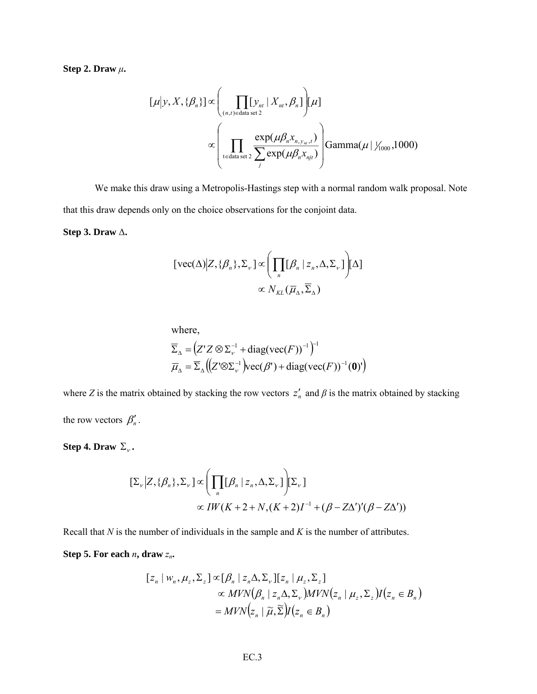**Step 2. Draw** *μ***.** 

$$
[\mu | y, X, \{\beta_n\}] \propto \left( \prod_{(n,t) \in \text{data set } 2} [y_{nt} | X_{nt}, \beta_n] \right) [\mu]
$$

$$
\propto \left( \prod_{t \in \text{data set } 2} \frac{\exp(\mu \beta_n x_{n,y_{nt},t})}{\sum_j \exp(\mu \beta_n x_{njt})} \right) \text{Gamma}(\mu | Y_{1000}, 1000)
$$

We make this draw using a Metropolis-Hastings step with a normal random walk proposal. Note that this draw depends only on the choice observations for the conjoint data.

**Step 3. Draw** Δ**.** 

$$
[vec(\Delta)|Z, \{\beta_n\}, \Sigma_{\nu}] \propto \left(\prod_n [\beta_n | z_n, \Delta, \Sigma_{\nu}] \right) [\Delta]
$$
  

$$
\propto N_{KL}(\overline{\mu}_{\Delta}, \overline{\Sigma}_{\Delta})
$$

where,

$$
\overline{\Sigma}_{\Delta} = (Z'Z \otimes \Sigma_{\nu}^{-1} + \text{diag}(\text{vec}(F))^{-1})^{-1}
$$

$$
\overline{\mu}_{\Delta} = \overline{\Sigma}_{\Delta} ((Z' \otimes \Sigma_{\nu}^{-1}) \text{vec}(\beta') + \text{diag}(\text{vec}(F))^{-1}(0))'
$$

where *Z* is the matrix obtained by stacking the row vectors  $z'_n$  and  $\beta$  is the matrix obtained by stacking the row vectors  $\beta'_n$ .

**Step 4. Draw**  $\Sigma_{\nu}$ **.** 

$$
\begin{aligned} [\Sigma_{\nu} | Z, \{\beta_n\}, \Sigma_{\nu}] &\propto \left( \prod_n [\beta_n | z_n, \Delta, \Sigma_{\nu}] \right) [\Sigma_{\nu}] \\ &\propto I W (K + 2 + N, (K + 2) I^{-1} + (\beta - Z \Delta')' (\beta - Z \Delta')) \end{aligned}
$$

Recall that *N* is the number of individuals in the sample and *K* is the number of attributes.

**Step 5. For each** *n***, draw** *zn***.** 

$$
[z_n | w_n, \mu_z, \Sigma_z] \propto [\beta_n | z_n \Delta, \Sigma_v][z_n | \mu_z, \Sigma_z]
$$
  
\n
$$
\propto MVN(\beta_n | z_n \Delta, \Sigma_v)MVN(z_n | \mu_z, \Sigma_z)I(z_n \in B_n)
$$
  
\n
$$
= MVN(z_n | \widetilde{\mu}, \widetilde{\Sigma})I(z_n \in B_n)
$$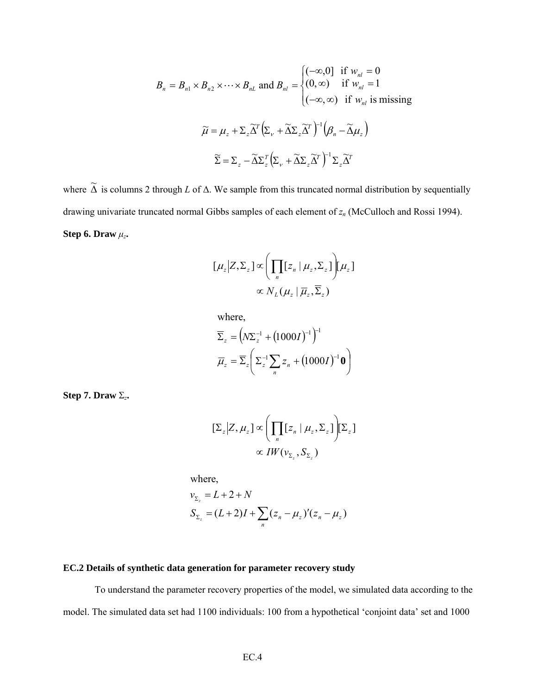$$
B_n = B_{n1} \times B_{n2} \times \cdots \times B_{nL} \text{ and } B_{nl} = \begin{cases} (-\infty, 0) & \text{if } w_{nl} = 0 \\ (0, \infty) & \text{if } w_{nl} = 1 \\ (-\infty, \infty) & \text{if } w_{nl} \text{ is missing} \end{cases}
$$

$$
\widetilde{\mu} = \mu_z + \Sigma_z \widetilde{\Delta}^T \Big( \Sigma_{\nu} + \widetilde{\Delta} \Sigma_z \widetilde{\Delta}^T \Big)^{-1} \Big( \beta_n - \widetilde{\Delta} \mu_z \Big)
$$

$$
\widetilde{\Sigma} = \Sigma_z - \widetilde{\Delta} \Sigma_z^T \Big( \Sigma_{\nu} + \widetilde{\Delta} \Sigma_z \widetilde{\Delta}^T \Big)^{-1} \Sigma_z \widetilde{\Delta}^T
$$

where  $\tilde{\Delta}$  is columns 2 through *L* of  $\Delta$ . We sample from this truncated normal distribution by sequentially drawing univariate truncated normal Gibbs samples of each element of  $z_n$  (McCulloch and Rossi 1994). **Step 6. Draw** *μz***.** 

$$
\begin{aligned} [\mu_z|Z, \Sigma_z] &\propto \left(\prod_n [z_n \,|\, \mu_z, \Sigma_z] \right) [\mu_z] \\ &\propto N_L(\mu_z \,|\, \overline{\mu}_z, \overline{\Sigma}_z) \end{aligned}
$$

where,

$$
\overline{\Sigma}_z = \left(N\Sigma_z^{-1} + (1000I)^{-1}\right)^{-1}
$$

$$
\overline{\mu}_z = \overline{\Sigma}_z \left(\Sigma_z^{-1} \sum_n z_n + (1000I)^{-1} \mathbf{0}\right)
$$

**Step 7. Draw** Σ*z***.** 

$$
\begin{aligned} [\Sigma_z | Z, \mu_z] &\propto \left( \prod_n [z_n | \mu_z, \Sigma_z] \right) [\Sigma_z] \\ &\propto I W(\nu_{\Sigma_z}, S_{\Sigma_z}) \end{aligned}
$$

where,

$$
v_{\Sigma_z} = L + 2 + N
$$
  
\n
$$
S_{\Sigma_z} = (L + 2)I + \sum_n (z_n - \mu_z)' (z_n - \mu_z)
$$

## **EC.2 Details of synthetic data generation for parameter recovery study**

To understand the parameter recovery properties of the model, we simulated data according to the model. The simulated data set had 1100 individuals: 100 from a hypothetical 'conjoint data' set and 1000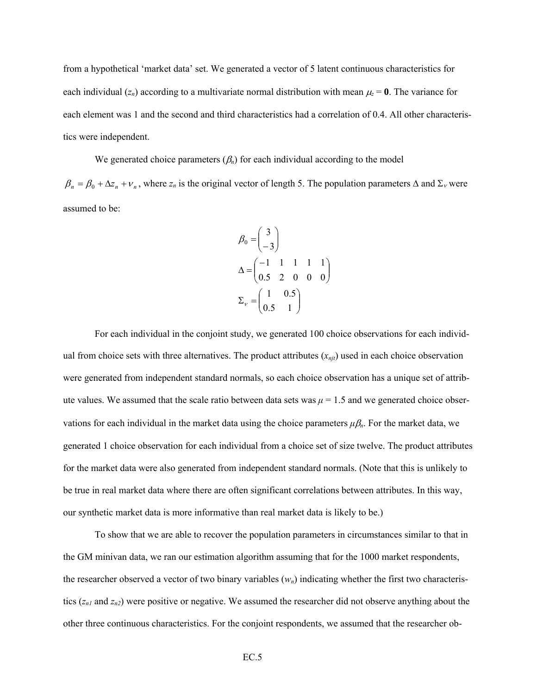from a hypothetical 'market data' set. We generated a vector of 5 latent continuous characteristics for each individual  $(z_n)$  according to a multivariate normal distribution with mean  $\mu_z = 0$ . The variance for each element was 1 and the second and third characteristics had a correlation of 0.4. All other characteristics were independent.

We generated choice parameters  $(\beta_n)$  for each individual according to the model  $\beta_n = \beta_0 + \Delta z_n + v_n$ , where  $z_n$  is the original vector of length 5. The population parameters  $\Delta$  and  $\Sigma_v$  were assumed to be:

$$
\beta_0 = \begin{pmatrix} 3 \\ -3 \end{pmatrix}
$$
  
\n
$$
\Delta = \begin{pmatrix} -1 & 1 & 1 & 1 & 1 \\ 0.5 & 2 & 0 & 0 & 0 \end{pmatrix}
$$
  
\n
$$
\Sigma_{\nu} = \begin{pmatrix} 1 & 0.5 \\ 0.5 & 1 \end{pmatrix}
$$

For each individual in the conjoint study, we generated 100 choice observations for each individual from choice sets with three alternatives. The product attributes  $(x_{njt})$  used in each choice observation were generated from independent standard normals, so each choice observation has a unique set of attribute values. We assumed that the scale ratio between data sets was  $\mu = 1.5$  and we generated choice observations for each individual in the market data using the choice parameters  $\mu \beta_n$ . For the market data, we generated 1 choice observation for each individual from a choice set of size twelve. The product attributes for the market data were also generated from independent standard normals. (Note that this is unlikely to be true in real market data where there are often significant correlations between attributes. In this way, our synthetic market data is more informative than real market data is likely to be.)

To show that we are able to recover the population parameters in circumstances similar to that in the GM minivan data, we ran our estimation algorithm assuming that for the 1000 market respondents, the researcher observed a vector of two binary variables (*wn*) indicating whether the first two characteristics (*zn1* and *zn2*) were positive or negative. We assumed the researcher did not observe anything about the other three continuous characteristics. For the conjoint respondents, we assumed that the researcher ob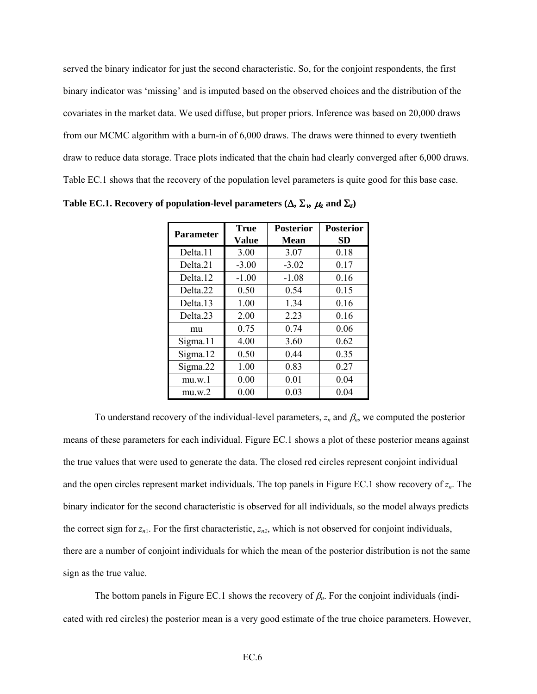served the binary indicator for just the second characteristic. So, for the conjoint respondents, the first binary indicator was 'missing' and is imputed based on the observed choices and the distribution of the covariates in the market data. We used diffuse, but proper priors. Inference was based on 20,000 draws from our MCMC algorithm with a burn-in of 6,000 draws. The draws were thinned to every twentieth draw to reduce data storage. Trace plots indicated that the chain had clearly converged after 6,000 draws. Table EC.1 shows that the recovery of the population level parameters is quite good for this base case.

| <b>Parameter</b>     | True    | <b>Posterior</b> | <b>Posterior</b> |
|----------------------|---------|------------------|------------------|
|                      | Value   | <b>Mean</b>      | <b>SD</b>        |
| Delta.11             | 3.00    | 3.07             | 0.18             |
| Delta <sub>.21</sub> | $-3.00$ | $-3.02$          | 0.17             |
| Delta 12             | $-1.00$ | $-1.08$          | 0.16             |
| Delta <sub>.22</sub> | 0.50    | 0.54             | 0.15             |
| Delta <sub>.13</sub> | 1.00    | 1.34             | 0.16             |
| Delta 23             | 2.00    | 2.23             | 0.16             |
| mu                   | 0.75    | 0.74             | 0.06             |
| Sigma.11             | 4.00    | 3.60             | 0.62             |
| Sigma.12             | 0.50    | 0.44             | 0.35             |
| Sigma.22             | 1.00    | 0.83             | 0.27             |
| mu.w.1               | 0.00    | 0.01             | 0.04             |
| mu.w.2               | 0.00    | 0.03             | 0.04             |

**Table EC.1. Recovery of population-level parameters (** $\Delta$ **,**  $\Sigma$ **<sub>***y***</sub>,**  $\mu$ **<sub>z</sub> and**  $\Sigma$ **<sub>z</sub>)** 

To understand recovery of the individual-level parameters,  $z_n$  and  $\beta_n$ , we computed the posterior means of these parameters for each individual. Figure EC.1 shows a plot of these posterior means against the true values that were used to generate the data. The closed red circles represent conjoint individual and the open circles represent market individuals. The top panels in Figure EC.1 show recovery of  $z_n$ . The binary indicator for the second characteristic is observed for all individuals, so the model always predicts the correct sign for  $z_{n1}$ . For the first characteristic,  $z_{n2}$ , which is not observed for conjoint individuals, there are a number of conjoint individuals for which the mean of the posterior distribution is not the same sign as the true value.

The bottom panels in Figure EC.1 shows the recovery of  $\beta_n$ . For the conjoint individuals (indicated with red circles) the posterior mean is a very good estimate of the true choice parameters. However,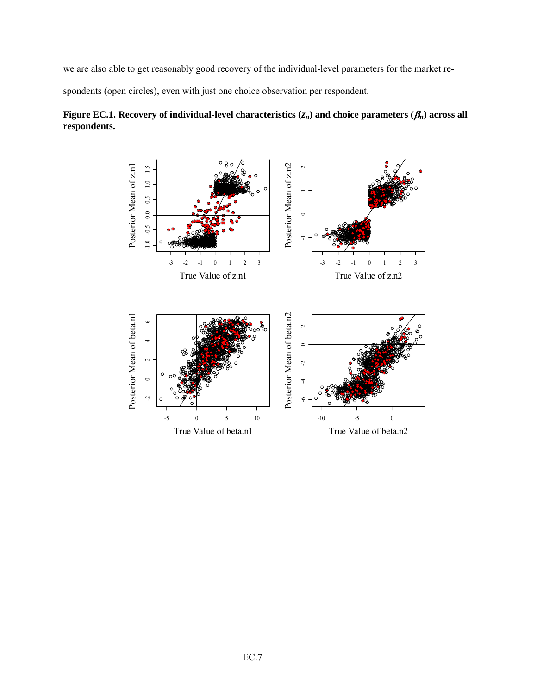we are also able to get reasonably good recovery of the individual-level parameters for the market re-

spondents (open circles), even with just one choice observation per respondent.